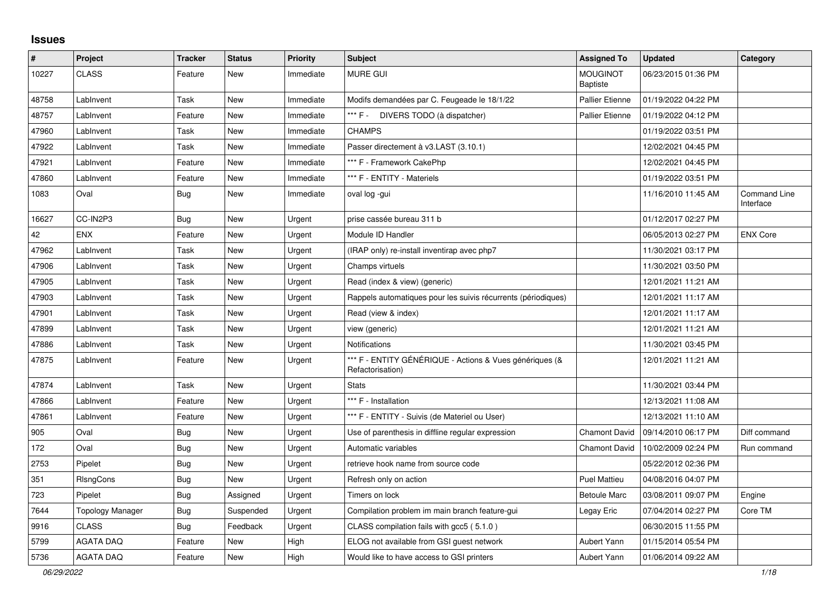## **Issues**

| #     | Project                 | <b>Tracker</b> | <b>Status</b> | Priority  | <b>Subject</b>                                                              | <b>Assigned To</b>                 | <b>Updated</b>      | Category                  |
|-------|-------------------------|----------------|---------------|-----------|-----------------------------------------------------------------------------|------------------------------------|---------------------|---------------------------|
| 10227 | <b>CLASS</b>            | Feature        | New           | Immediate | <b>MURE GUI</b>                                                             | <b>MOUGINOT</b><br><b>Baptiste</b> | 06/23/2015 01:36 PM |                           |
| 48758 | LabInvent               | Task           | New           | Immediate | Modifs demandées par C. Feugeade le 18/1/22                                 | <b>Pallier Etienne</b>             | 01/19/2022 04:22 PM |                           |
| 48757 | LabInvent               | Feature        | <b>New</b>    | Immediate | *** F - DIVERS TODO (à dispatcher)                                          | <b>Pallier Etienne</b>             | 01/19/2022 04:12 PM |                           |
| 47960 | LabInvent               | Task           | <b>New</b>    | Immediate | <b>CHAMPS</b>                                                               |                                    | 01/19/2022 03:51 PM |                           |
| 47922 | LabInvent               | Task           | New           | Immediate | Passer directement à v3.LAST (3.10.1)                                       |                                    | 12/02/2021 04:45 PM |                           |
| 47921 | LabInvent               | Feature        | New           | Immediate | *** F - Framework CakePhp                                                   |                                    | 12/02/2021 04:45 PM |                           |
| 47860 | LabInvent               | Feature        | New           | Immediate | *** F - ENTITY - Materiels                                                  |                                    | 01/19/2022 03:51 PM |                           |
| 1083  | Oval                    | <b>Bug</b>     | New           | Immediate | oval log -gui                                                               |                                    | 11/16/2010 11:45 AM | Command Line<br>Interface |
| 16627 | CC-IN2P3                | <b>Bug</b>     | New           | Urgent    | prise cassée bureau 311 b                                                   |                                    | 01/12/2017 02:27 PM |                           |
| 42    | <b>ENX</b>              | Feature        | New           | Urgent    | Module ID Handler                                                           |                                    | 06/05/2013 02:27 PM | <b>ENX Core</b>           |
| 47962 | LabInvent               | Task           | <b>New</b>    | Urgent    | (IRAP only) re-install inventirap avec php7                                 |                                    | 11/30/2021 03:17 PM |                           |
| 47906 | LabInvent               | Task           | New           | Urgent    | Champs virtuels                                                             |                                    | 11/30/2021 03:50 PM |                           |
| 47905 | LabInvent               | Task           | New           | Urgent    | Read (index & view) (generic)                                               |                                    | 12/01/2021 11:21 AM |                           |
| 47903 | LabInvent               | Task           | <b>New</b>    | Urgent    | Rappels automatiques pour les suivis récurrents (périodiques)               |                                    | 12/01/2021 11:17 AM |                           |
| 47901 | LabInvent               | Task           | New           | Urgent    | Read (view & index)                                                         |                                    | 12/01/2021 11:17 AM |                           |
| 47899 | LabInvent               | Task           | New           | Urgent    | view (generic)                                                              |                                    | 12/01/2021 11:21 AM |                           |
| 47886 | LabInvent               | Task           | New           | Urgent    | Notifications                                                               |                                    | 11/30/2021 03:45 PM |                           |
| 47875 | LabInvent               | Feature        | New           | Urgent    | *** F - ENTITY GÉNÉRIQUE - Actions & Vues génériques (&<br>Refactorisation) |                                    | 12/01/2021 11:21 AM |                           |
| 47874 | LabInvent               | Task           | New           | Urgent    | <b>Stats</b>                                                                |                                    | 11/30/2021 03:44 PM |                           |
| 47866 | LabInvent               | Feature        | New           | Urgent    | *** F - Installation                                                        |                                    | 12/13/2021 11:08 AM |                           |
| 47861 | LabInvent               | Feature        | New           | Urgent    | *** F - ENTITY - Suivis (de Materiel ou User)                               |                                    | 12/13/2021 11:10 AM |                           |
| 905   | Oval                    | Bug            | New           | Urgent    | Use of parenthesis in diffline regular expression                           | <b>Chamont David</b>               | 09/14/2010 06:17 PM | Diff command              |
| 172   | Oval                    | <b>Bug</b>     | <b>New</b>    | Urgent    | Automatic variables                                                         | <b>Chamont David</b>               | 10/02/2009 02:24 PM | Run command               |
| 2753  | Pipelet                 | <b>Bug</b>     | New           | Urgent    | retrieve hook name from source code                                         |                                    | 05/22/2012 02:36 PM |                           |
| 351   | <b>RIsngCons</b>        | <b>Bug</b>     | <b>New</b>    | Urgent    | Refresh only on action                                                      | <b>Puel Mattieu</b>                | 04/08/2016 04:07 PM |                           |
| 723   | Pipelet                 | Bug            | Assigned      | Urgent    | Timers on lock                                                              | <b>Betoule Marc</b>                | 03/08/2011 09:07 PM | Engine                    |
| 7644  | <b>Topology Manager</b> | <b>Bug</b>     | Suspended     | Urgent    | Compilation problem im main branch feature-gui                              | Legay Eric                         | 07/04/2014 02:27 PM | Core TM                   |
| 9916  | <b>CLASS</b>            | <b>Bug</b>     | Feedback      | Urgent    | CLASS compilation fails with gcc5 (5.1.0)                                   |                                    | 06/30/2015 11:55 PM |                           |
| 5799  | <b>AGATA DAQ</b>        | Feature        | New           | High      | ELOG not available from GSI guest network                                   | Aubert Yann                        | 01/15/2014 05:54 PM |                           |
| 5736  | AGATA DAQ               | Feature        | New           | High      | Would like to have access to GSI printers                                   | Aubert Yann                        | 01/06/2014 09:22 AM |                           |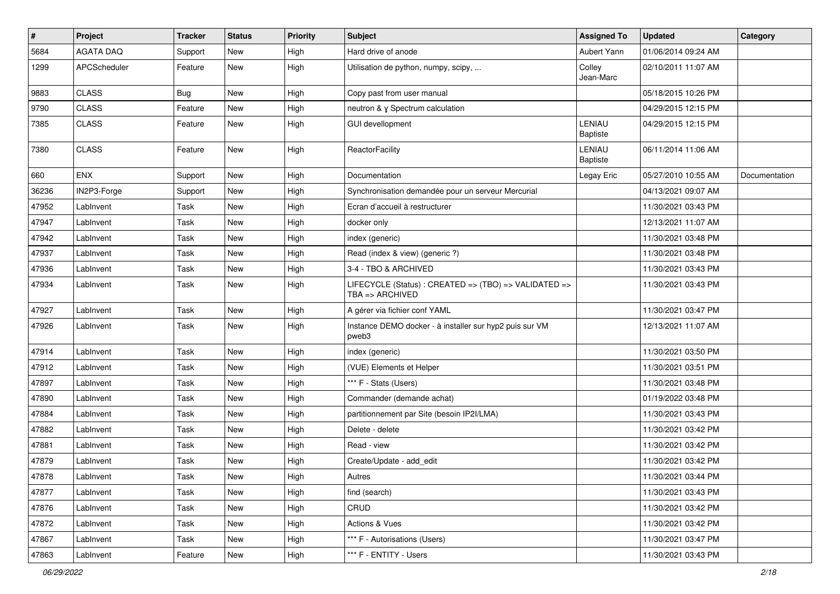| $\sharp$ | Project          | <b>Tracker</b> | <b>Status</b> | <b>Priority</b> | <b>Subject</b>                                                           | <b>Assigned To</b>        | <b>Updated</b>      | Category      |
|----------|------------------|----------------|---------------|-----------------|--------------------------------------------------------------------------|---------------------------|---------------------|---------------|
| 5684     | <b>AGATA DAQ</b> | Support        | New           | High            | Hard drive of anode                                                      | Aubert Yann               | 01/06/2014 09:24 AM |               |
| 1299     | APCScheduler     | Feature        | New           | High            | Utilisation de python, numpy, scipy,                                     | Colley<br>Jean-Marc       | 02/10/2011 11:07 AM |               |
| 9883     | <b>CLASS</b>     | <b>Bug</b>     | <b>New</b>    | High            | Copy past from user manual                                               |                           | 05/18/2015 10:26 PM |               |
| 9790     | <b>CLASS</b>     | Feature        | New           | High            | neutron & y Spectrum calculation                                         |                           | 04/29/2015 12:15 PM |               |
| 7385     | <b>CLASS</b>     | Feature        | New           | High            | <b>GUI devellopment</b>                                                  | LENIAU<br>Baptiste        | 04/29/2015 12:15 PM |               |
| 7380     | <b>CLASS</b>     | Feature        | <b>New</b>    | High            | <b>ReactorFacility</b>                                                   | LENIAU<br><b>Baptiste</b> | 06/11/2014 11:06 AM |               |
| 660      | <b>ENX</b>       | Support        | <b>New</b>    | High            | Documentation                                                            | Legay Eric                | 05/27/2010 10:55 AM | Documentation |
| 36236    | IN2P3-Forge      | Support        | New           | High            | Synchronisation demandée pour un serveur Mercurial                       |                           | 04/13/2021 09:07 AM |               |
| 47952    | LabInvent        | Task           | <b>New</b>    | High            | Ecran d'accueil à restructurer                                           |                           | 11/30/2021 03:43 PM |               |
| 47947    | LabInvent        | Task           | <b>New</b>    | High            | docker only                                                              |                           | 12/13/2021 11:07 AM |               |
| 47942    | LabInvent        | Task           | <b>New</b>    | High            | index (generic)                                                          |                           | 11/30/2021 03:48 PM |               |
| 47937    | LabInvent        | Task           | <b>New</b>    | High            | Read (index & view) (generic ?)                                          |                           | 11/30/2021 03:48 PM |               |
| 47936    | LabInvent        | Task           | <b>New</b>    | High            | 3-4 - TBO & ARCHIVED                                                     |                           | 11/30/2021 03:43 PM |               |
| 47934    | LabInvent        | Task           | <b>New</b>    | High            | LIFECYCLE (Status) : CREATED => (TBO) => VALIDATED =><br>TBA => ARCHIVED |                           | 11/30/2021 03:43 PM |               |
| 47927    | LabInvent        | Task           | <b>New</b>    | High            | A gérer via fichier conf YAML                                            |                           | 11/30/2021 03:47 PM |               |
| 47926    | LabInvent        | Task           | New           | High            | Instance DEMO docker - à installer sur hyp2 puis sur VM<br>pweb3         |                           | 12/13/2021 11:07 AM |               |
| 47914    | LabInvent        | Task           | <b>New</b>    | High            | index (generic)                                                          |                           | 11/30/2021 03:50 PM |               |
| 47912    | LabInvent        | Task           | <b>New</b>    | High            | (VUE) Elements et Helper                                                 |                           | 11/30/2021 03:51 PM |               |
| 47897    | LabInvent        | Task           | <b>New</b>    | High            | *** F - Stats (Users)                                                    |                           | 11/30/2021 03:48 PM |               |
| 47890    | LabInvent        | Task           | <b>New</b>    | High            | Commander (demande achat)                                                |                           | 01/19/2022 03:48 PM |               |
| 47884    | LabInvent        | Task           | <b>New</b>    | High            | partitionnement par Site (besoin IP2I/LMA)                               |                           | 11/30/2021 03:43 PM |               |
| 47882    | LabInvent        | Task           | <b>New</b>    | High            | Delete - delete                                                          |                           | 11/30/2021 03:42 PM |               |
| 47881    | LabInvent        | Task           | <b>New</b>    | High            | Read - view                                                              |                           | 11/30/2021 03:42 PM |               |
| 47879    | LabInvent        | Task           | <b>New</b>    | High            | Create/Update - add_edit                                                 |                           | 11/30/2021 03:42 PM |               |
| 47878    | LabInvent        | Task           | New           | High            | Autres                                                                   |                           | 11/30/2021 03:44 PM |               |
| 47877    | LabInvent        | Task           | New           | High            | find (search)                                                            |                           | 11/30/2021 03:43 PM |               |
| 47876    | LabInvent        | Task           | New           | High            | CRUD                                                                     |                           | 11/30/2021 03:42 PM |               |
| 47872    | LabInvent        | Task           | New           | High            | Actions & Vues                                                           |                           | 11/30/2021 03:42 PM |               |
| 47867    | LabInvent        | Task           | New           | High            | *** F - Autorisations (Users)                                            |                           | 11/30/2021 03:47 PM |               |
| 47863    | LabInvent        | Feature        | New           | High            | *** F - ENTITY - Users                                                   |                           | 11/30/2021 03:43 PM |               |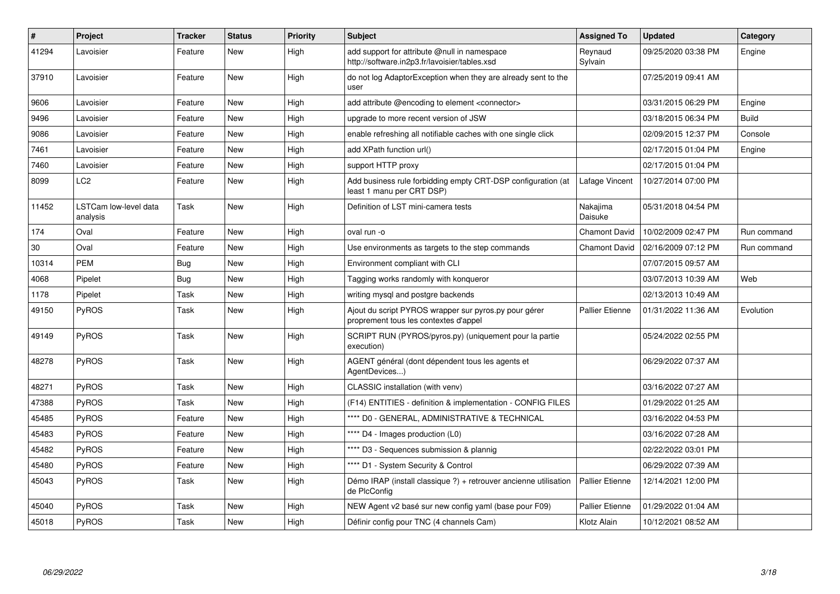| #     | Project                           | <b>Tracker</b> | <b>Status</b> | Priority | <b>Subject</b>                                                                                 | <b>Assigned To</b>     | <b>Updated</b>      | Category     |
|-------|-----------------------------------|----------------|---------------|----------|------------------------------------------------------------------------------------------------|------------------------|---------------------|--------------|
| 41294 | Lavoisier                         | Feature        | New           | High     | add support for attribute @null in namespace<br>http://software.in2p3.fr/lavoisier/tables.xsd  | Reynaud<br>Sylvain     | 09/25/2020 03:38 PM | Engine       |
| 37910 | Lavoisier                         | Feature        | <b>New</b>    | High     | do not log AdaptorException when they are already sent to the<br>user                          |                        | 07/25/2019 09:41 AM |              |
| 9606  | Lavoisier                         | Feature        | New           | High     | add attribute @encoding to element <connector></connector>                                     |                        | 03/31/2015 06:29 PM | Engine       |
| 9496  | Lavoisier                         | Feature        | New           | High     | upgrade to more recent version of JSW                                                          |                        | 03/18/2015 06:34 PM | <b>Build</b> |
| 9086  | Lavoisier                         | Feature        | <b>New</b>    | High     | enable refreshing all notifiable caches with one single click                                  |                        | 02/09/2015 12:37 PM | Console      |
| 7461  | Lavoisier                         | Feature        | New           | High     | add XPath function url()                                                                       |                        | 02/17/2015 01:04 PM | Engine       |
| 7460  | Lavoisier                         | Feature        | New           | High     | support HTTP proxy                                                                             |                        | 02/17/2015 01:04 PM |              |
| 8099  | LC2                               | Feature        | <b>New</b>    | High     | Add business rule forbidding empty CRT-DSP configuration (at<br>least 1 manu per CRT DSP)      | Lafage Vincent         | 10/27/2014 07:00 PM |              |
| 11452 | LSTCam low-level data<br>analysis | Task           | <b>New</b>    | High     | Definition of LST mini-camera tests                                                            | Nakajima<br>Daisuke    | 05/31/2018 04:54 PM |              |
| 174   | Oval                              | Feature        | New           | High     | oval run -o                                                                                    | <b>Chamont David</b>   | 10/02/2009 02:47 PM | Run command  |
| 30    | Oval                              | Feature        | New           | High     | Use environments as targets to the step commands                                               | <b>Chamont David</b>   | 02/16/2009 07:12 PM | Run command  |
| 10314 | <b>PEM</b>                        | Bug            | New           | High     | Environment compliant with CLI                                                                 |                        | 07/07/2015 09:57 AM |              |
| 4068  | Pipelet                           | <b>Bug</b>     | <b>New</b>    | High     | Tagging works randomly with konqueror                                                          |                        | 03/07/2013 10:39 AM | Web          |
| 1178  | Pipelet                           | Task           | New           | High     | writing mysql and postgre backends                                                             |                        | 02/13/2013 10:49 AM |              |
| 49150 | <b>PyROS</b>                      | Task           | New           | High     | Ajout du script PYROS wrapper sur pyros.py pour gérer<br>proprement tous les contextes d'appel | <b>Pallier Etienne</b> | 01/31/2022 11:36 AM | Evolution    |
| 49149 | PyROS                             | Task           | <b>New</b>    | High     | SCRIPT RUN (PYROS/pyros.py) (uniquement pour la partie<br>execution)                           |                        | 05/24/2022 02:55 PM |              |
| 48278 | PyROS                             | Task           | New           | High     | AGENT général (dont dépendent tous les agents et<br>AgentDevices)                              |                        | 06/29/2022 07:37 AM |              |
| 48271 | PyROS                             | Task           | New           | High     | CLASSIC installation (with venv)                                                               |                        | 03/16/2022 07:27 AM |              |
| 47388 | PyROS                             | Task           | <b>New</b>    | High     | (F14) ENTITIES - definition & implementation - CONFIG FILES                                    |                        | 01/29/2022 01:25 AM |              |
| 45485 | <b>PyROS</b>                      | Feature        | New           | High     | **** D0 - GENERAL, ADMINISTRATIVE & TECHNICAL                                                  |                        | 03/16/2022 04:53 PM |              |
| 45483 | <b>PyROS</b>                      | Feature        | New           | High     | **** D4 - Images production (L0)                                                               |                        | 03/16/2022 07:28 AM |              |
| 45482 | PyROS                             | Feature        | New           | High     | **** D3 - Sequences submission & plannig                                                       |                        | 02/22/2022 03:01 PM |              |
| 45480 | <b>PyROS</b>                      | Feature        | New           | High     | **** D1 - System Security & Control                                                            |                        | 06/29/2022 07:39 AM |              |
| 45043 | PyROS                             | Task           | <b>New</b>    | High     | Démo IRAP (install classique ?) + retrouver ancienne utilisation<br>de PlcConfig               | <b>Pallier Etienne</b> | 12/14/2021 12:00 PM |              |
| 45040 | PyROS                             | Task           | New           | High     | NEW Agent v2 basé sur new config yaml (base pour F09)                                          | <b>Pallier Etienne</b> | 01/29/2022 01:04 AM |              |
| 45018 | <b>PyROS</b>                      | Task           | New           | High     | Définir config pour TNC (4 channels Cam)                                                       | Klotz Alain            | 10/12/2021 08:52 AM |              |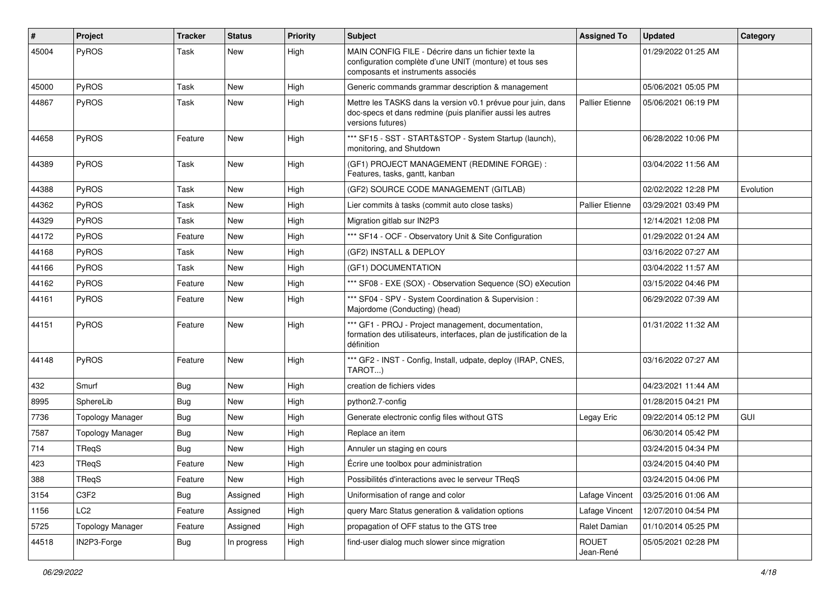| #     | Project                 | <b>Tracker</b> | <b>Status</b> | <b>Priority</b> | <b>Subject</b>                                                                                                                                       | <b>Assigned To</b>        | <b>Updated</b>      | Category  |
|-------|-------------------------|----------------|---------------|-----------------|------------------------------------------------------------------------------------------------------------------------------------------------------|---------------------------|---------------------|-----------|
| 45004 | PyROS                   | Task           | New           | High            | MAIN CONFIG FILE - Décrire dans un fichier texte la<br>configuration complète d'une UNIT (monture) et tous ses<br>composants et instruments associés |                           | 01/29/2022 01:25 AM |           |
| 45000 | PyROS                   | Task           | <b>New</b>    | High            | Generic commands grammar description & management                                                                                                    |                           | 05/06/2021 05:05 PM |           |
| 44867 | PyROS                   | Task           | New           | High            | Mettre les TASKS dans la version v0.1 prévue pour juin, dans<br>doc-specs et dans redmine (puis planifier aussi les autres<br>versions futures)      | Pallier Etienne           | 05/06/2021 06:19 PM |           |
| 44658 | PyROS                   | Feature        | New           | High            | *** SF15 - SST - START&STOP - System Startup (launch),<br>monitoring, and Shutdown                                                                   |                           | 06/28/2022 10:06 PM |           |
| 44389 | PyROS                   | Task           | New           | High            | (GF1) PROJECT MANAGEMENT (REDMINE FORGE) :<br>Features, tasks, gantt, kanban                                                                         |                           | 03/04/2022 11:56 AM |           |
| 44388 | PyROS                   | Task           | <b>New</b>    | High            | (GF2) SOURCE CODE MANAGEMENT (GITLAB)                                                                                                                |                           | 02/02/2022 12:28 PM | Evolution |
| 44362 | PyROS                   | Task           | <b>New</b>    | High            | Lier commits à tasks (commit auto close tasks)                                                                                                       | <b>Pallier Etienne</b>    | 03/29/2021 03:49 PM |           |
| 44329 | PyROS                   | Task           | New           | High            | Migration gitlab sur IN2P3                                                                                                                           |                           | 12/14/2021 12:08 PM |           |
| 44172 | PyROS                   | Feature        | <b>New</b>    | High            | *** SF14 - OCF - Observatory Unit & Site Configuration                                                                                               |                           | 01/29/2022 01:24 AM |           |
| 44168 | PyROS                   | Task           | New           | High            | (GF2) INSTALL & DEPLOY                                                                                                                               |                           | 03/16/2022 07:27 AM |           |
| 44166 | PyROS                   | Task           | <b>New</b>    | High            | (GF1) DOCUMENTATION                                                                                                                                  |                           | 03/04/2022 11:57 AM |           |
| 44162 | PyROS                   | Feature        | <b>New</b>    | High            | *** SF08 - EXE (SOX) - Observation Sequence (SO) eXecution                                                                                           |                           | 03/15/2022 04:46 PM |           |
| 44161 | PyROS                   | Feature        | New           | High            | *** SF04 - SPV - System Coordination & Supervision :<br>Majordome (Conducting) (head)                                                                |                           | 06/29/2022 07:39 AM |           |
| 44151 | PyROS                   | Feature        | New           | High            | *** GF1 - PROJ - Project management, documentation,<br>formation des utilisateurs, interfaces, plan de justification de la<br>définition             |                           | 01/31/2022 11:32 AM |           |
| 44148 | PyROS                   | Feature        | New           | High            | *** GF2 - INST - Config, Install, udpate, deploy (IRAP, CNES,<br>TAROT)                                                                              |                           | 03/16/2022 07:27 AM |           |
| 432   | Smurf                   | <b>Bug</b>     | <b>New</b>    | High            | creation de fichiers vides                                                                                                                           |                           | 04/23/2021 11:44 AM |           |
| 8995  | SphereLib               | <b>Bug</b>     | New           | High            | python2.7-config                                                                                                                                     |                           | 01/28/2015 04:21 PM |           |
| 7736  | <b>Topology Manager</b> | <b>Bug</b>     | New           | High            | Generate electronic config files without GTS                                                                                                         | Legay Eric                | 09/22/2014 05:12 PM | GUI       |
| 7587  | <b>Topology Manager</b> | <b>Bug</b>     | <b>New</b>    | High            | Replace an item                                                                                                                                      |                           | 06/30/2014 05:42 PM |           |
| 714   | TReqS                   | <b>Bug</b>     | New           | High            | Annuler un staging en cours                                                                                                                          |                           | 03/24/2015 04:34 PM |           |
| 423   | TReqS                   | Feature        | New           | High            | Écrire une toolbox pour administration                                                                                                               |                           | 03/24/2015 04:40 PM |           |
| 388   | TReqS                   | Feature        | New           | High            | Possibilités d'interactions avec le serveur TReqS                                                                                                    |                           | 03/24/2015 04:06 PM |           |
| 3154  | C3F2                    | <b>Bug</b>     | Assigned      | High            | Uniformisation of range and color                                                                                                                    | Lafage Vincent            | 03/25/2016 01:06 AM |           |
| 1156  | LC <sub>2</sub>         | Feature        | Assigned      | High            | query Marc Status generation & validation options                                                                                                    | Lafage Vincent            | 12/07/2010 04:54 PM |           |
| 5725  | <b>Topology Manager</b> | Feature        | Assigned      | High            | propagation of OFF status to the GTS tree                                                                                                            | Ralet Damian              | 01/10/2014 05:25 PM |           |
| 44518 | IN2P3-Forge             | Bug            | In progress   | High            | find-user dialog much slower since migration                                                                                                         | <b>ROUET</b><br>Jean-René | 05/05/2021 02:28 PM |           |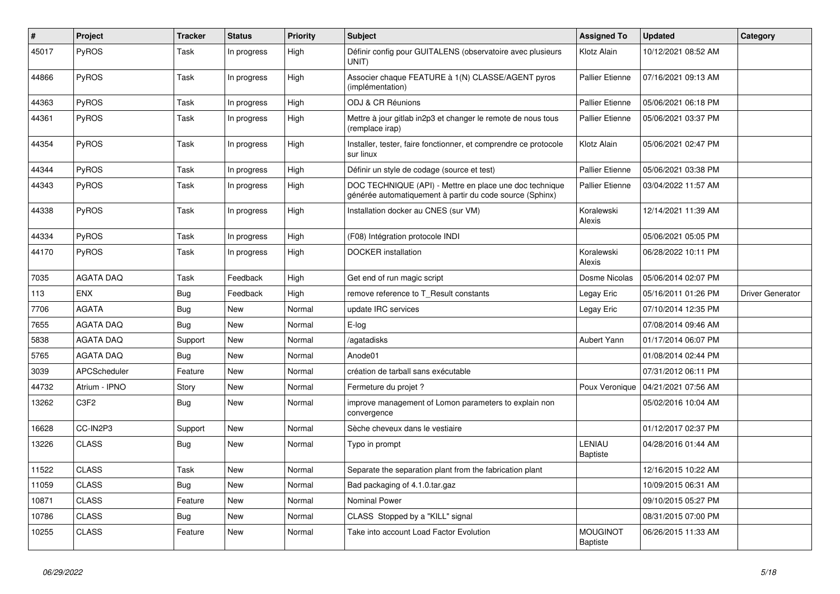| $\vert$ # | Project          | <b>Tracker</b> | <b>Status</b> | <b>Priority</b> | <b>Subject</b>                                                                                                      | <b>Assigned To</b>                 | <b>Updated</b>      | Category                |
|-----------|------------------|----------------|---------------|-----------------|---------------------------------------------------------------------------------------------------------------------|------------------------------------|---------------------|-------------------------|
| 45017     | PyROS            | Task           | In progress   | High            | Définir config pour GUITALENS (observatoire avec plusieurs<br>UNIT)                                                 | Klotz Alain                        | 10/12/2021 08:52 AM |                         |
| 44866     | PyROS            | Task           | In progress   | High            | Associer chaque FEATURE à 1(N) CLASSE/AGENT pyros<br>(implémentation)                                               | <b>Pallier Etienne</b>             | 07/16/2021 09:13 AM |                         |
| 44363     | PyROS            | Task           | In progress   | High            | ODJ & CR Réunions                                                                                                   | <b>Pallier Etienne</b>             | 05/06/2021 06:18 PM |                         |
| 44361     | PyROS            | Task           | In progress   | High            | Mettre à jour gitlab in2p3 et changer le remote de nous tous<br>(remplace irap)                                     | <b>Pallier Etienne</b>             | 05/06/2021 03:37 PM |                         |
| 44354     | PyROS            | Task           | In progress   | High            | Installer, tester, faire fonctionner, et comprendre ce protocole<br>sur linux                                       | Klotz Alain                        | 05/06/2021 02:47 PM |                         |
| 44344     | PyROS            | Task           | In progress   | High            | Définir un style de codage (source et test)                                                                         | <b>Pallier Etienne</b>             | 05/06/2021 03:38 PM |                         |
| 44343     | PyROS            | Task           | In progress   | High            | DOC TECHNIQUE (API) - Mettre en place une doc technique<br>générée automatiquement à partir du code source (Sphinx) | <b>Pallier Etienne</b>             | 03/04/2022 11:57 AM |                         |
| 44338     | <b>PyROS</b>     | Task           | In progress   | High            | Installation docker au CNES (sur VM)                                                                                | Koralewski<br>Alexis               | 12/14/2021 11:39 AM |                         |
| 44334     | PyROS            | Task           | In progress   | High            | (F08) Intégration protocole INDI                                                                                    |                                    | 05/06/2021 05:05 PM |                         |
| 44170     | PyROS            | Task           | In progress   | High            | <b>DOCKER</b> installation                                                                                          | Koralewski<br>Alexis               | 06/28/2022 10:11 PM |                         |
| 7035      | <b>AGATA DAQ</b> | Task           | Feedback      | High            | Get end of run magic script                                                                                         | Dosme Nicolas                      | 05/06/2014 02:07 PM |                         |
| 113       | <b>ENX</b>       | <b>Bug</b>     | Feedback      | High            | remove reference to T_Result constants                                                                              | Legay Eric                         | 05/16/2011 01:26 PM | <b>Driver Generator</b> |
| 7706      | <b>AGATA</b>     | <b>Bug</b>     | <b>New</b>    | Normal          | update IRC services                                                                                                 | Legay Eric                         | 07/10/2014 12:35 PM |                         |
| 7655      | <b>AGATA DAQ</b> | <b>Bug</b>     | <b>New</b>    | Normal          | E-log                                                                                                               |                                    | 07/08/2014 09:46 AM |                         |
| 5838      | <b>AGATA DAQ</b> | Support        | <b>New</b>    | Normal          | /agatadisks                                                                                                         | Aubert Yann                        | 01/17/2014 06:07 PM |                         |
| 5765      | <b>AGATA DAQ</b> | Bug            | <b>New</b>    | Normal          | Anode01                                                                                                             |                                    | 01/08/2014 02:44 PM |                         |
| 3039      | APCScheduler     | Feature        | New           | Normal          | création de tarball sans exécutable                                                                                 |                                    | 07/31/2012 06:11 PM |                         |
| 44732     | Atrium - IPNO    | Story          | New           | Normal          | Fermeture du projet ?                                                                                               | Poux Veronique                     | 04/21/2021 07:56 AM |                         |
| 13262     | C3F2             | <b>Bug</b>     | New           | Normal          | improve management of Lomon parameters to explain non<br>convergence                                                |                                    | 05/02/2016 10:04 AM |                         |
| 16628     | CC-IN2P3         | Support        | New           | Normal          | Sèche cheveux dans le vestiaire                                                                                     |                                    | 01/12/2017 02:37 PM |                         |
| 13226     | <b>CLASS</b>     | <b>Bug</b>     | New           | Normal          | Typo in prompt                                                                                                      | <b>LENIAU</b><br><b>Baptiste</b>   | 04/28/2016 01:44 AM |                         |
| 11522     | <b>CLASS</b>     | Task           | <b>New</b>    | Normal          | Separate the separation plant from the fabrication plant                                                            |                                    | 12/16/2015 10:22 AM |                         |
| 11059     | <b>CLASS</b>     | <b>Bug</b>     | <b>New</b>    | Normal          | Bad packaging of 4.1.0.tar.gaz                                                                                      |                                    | 10/09/2015 06:31 AM |                         |
| 10871     | <b>CLASS</b>     | Feature        | <b>New</b>    | Normal          | <b>Nominal Power</b>                                                                                                |                                    | 09/10/2015 05:27 PM |                         |
| 10786     | <b>CLASS</b>     | Bug            | New           | Normal          | CLASS Stopped by a "KILL" signal                                                                                    |                                    | 08/31/2015 07:00 PM |                         |
| 10255     | <b>CLASS</b>     | Feature        | <b>New</b>    | Normal          | Take into account Load Factor Evolution                                                                             | <b>MOUGINOT</b><br><b>Baptiste</b> | 06/26/2015 11:33 AM |                         |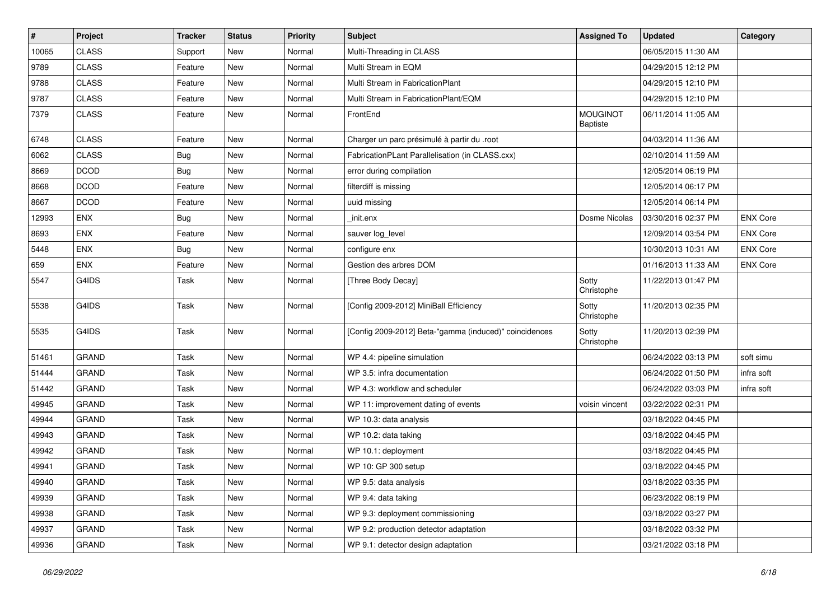| #     | Project      | <b>Tracker</b> | <b>Status</b> | <b>Priority</b> | Subject                                                | <b>Assigned To</b>                 | <b>Updated</b>      | Category        |
|-------|--------------|----------------|---------------|-----------------|--------------------------------------------------------|------------------------------------|---------------------|-----------------|
| 10065 | <b>CLASS</b> | Support        | New           | Normal          | Multi-Threading in CLASS                               |                                    | 06/05/2015 11:30 AM |                 |
| 9789  | <b>CLASS</b> | Feature        | New           | Normal          | Multi Stream in EQM                                    |                                    | 04/29/2015 12:12 PM |                 |
| 9788  | <b>CLASS</b> | Feature        | New           | Normal          | Multi Stream in FabricationPlant                       |                                    | 04/29/2015 12:10 PM |                 |
| 9787  | <b>CLASS</b> | Feature        | New           | Normal          | Multi Stream in FabricationPlant/EQM                   |                                    | 04/29/2015 12:10 PM |                 |
| 7379  | <b>CLASS</b> | Feature        | New           | Normal          | FrontEnd                                               | <b>MOUGINOT</b><br><b>Baptiste</b> | 06/11/2014 11:05 AM |                 |
| 6748  | <b>CLASS</b> | Feature        | New           | Normal          | Charger un parc présimulé à partir du .root            |                                    | 04/03/2014 11:36 AM |                 |
| 6062  | <b>CLASS</b> | <b>Bug</b>     | New           | Normal          | FabricationPLant Parallelisation (in CLASS.cxx)        |                                    | 02/10/2014 11:59 AM |                 |
| 8669  | <b>DCOD</b>  | <b>Bug</b>     | New           | Normal          | error during compilation                               |                                    | 12/05/2014 06:19 PM |                 |
| 8668  | <b>DCOD</b>  | Feature        | <b>New</b>    | Normal          | filterdiff is missing                                  |                                    | 12/05/2014 06:17 PM |                 |
| 8667  | <b>DCOD</b>  | Feature        | New           | Normal          | uuid missing                                           |                                    | 12/05/2014 06:14 PM |                 |
| 12993 | <b>ENX</b>   | <b>Bug</b>     | New           | Normal          | init.enx                                               | Dosme Nicolas                      | 03/30/2016 02:37 PM | <b>ENX Core</b> |
| 8693  | ENX          | Feature        | <b>New</b>    | Normal          | sauver log_level                                       |                                    | 12/09/2014 03:54 PM | <b>ENX Core</b> |
| 5448  | ENX          | <b>Bug</b>     | New           | Normal          | configure enx                                          |                                    | 10/30/2013 10:31 AM | <b>ENX Core</b> |
| 659   | ENX          | Feature        | New           | Normal          | Gestion des arbres DOM                                 |                                    | 01/16/2013 11:33 AM | <b>ENX Core</b> |
| 5547  | G4IDS        | Task           | New           | Normal          | [Three Body Decay]                                     | Sotty<br>Christophe                | 11/22/2013 01:47 PM |                 |
| 5538  | G4IDS        | Task           | New           | Normal          | [Config 2009-2012] MiniBall Efficiency                 | Sotty<br>Christophe                | 11/20/2013 02:35 PM |                 |
| 5535  | G4IDS        | Task           | New           | Normal          | [Config 2009-2012] Beta-"gamma (induced)" coincidences | Sotty<br>Christophe                | 11/20/2013 02:39 PM |                 |
| 51461 | <b>GRAND</b> | Task           | New           | Normal          | WP 4.4: pipeline simulation                            |                                    | 06/24/2022 03:13 PM | soft simu       |
| 51444 | <b>GRAND</b> | Task           | New           | Normal          | WP 3.5: infra documentation                            |                                    | 06/24/2022 01:50 PM | infra soft      |
| 51442 | <b>GRAND</b> | Task           | New           | Normal          | WP 4.3: workflow and scheduler                         |                                    | 06/24/2022 03:03 PM | infra soft      |
| 49945 | <b>GRAND</b> | Task           | New           | Normal          | WP 11: improvement dating of events                    | voisin vincent                     | 03/22/2022 02:31 PM |                 |
| 49944 | <b>GRAND</b> | Task           | New           | Normal          | WP 10.3: data analysis                                 |                                    | 03/18/2022 04:45 PM |                 |
| 49943 | <b>GRAND</b> | Task           | New           | Normal          | WP 10.2: data taking                                   |                                    | 03/18/2022 04:45 PM |                 |
| 49942 | <b>GRAND</b> | Task           | New           | Normal          | WP 10.1: deployment                                    |                                    | 03/18/2022 04:45 PM |                 |
| 49941 | <b>GRAND</b> | Task           | New           | Normal          | WP 10: GP 300 setup                                    |                                    | 03/18/2022 04:45 PM |                 |
| 49940 | GRAND        | Task           | New           | Normal          | WP 9.5: data analysis                                  |                                    | 03/18/2022 03:35 PM |                 |
| 49939 | GRAND        | Task           | New           | Normal          | WP 9.4: data taking                                    |                                    | 06/23/2022 08:19 PM |                 |
| 49938 | <b>GRAND</b> | Task           | New           | Normal          | WP 9.3: deployment commissioning                       |                                    | 03/18/2022 03:27 PM |                 |
| 49937 | <b>GRAND</b> | Task           | New           | Normal          | WP 9.2: production detector adaptation                 |                                    | 03/18/2022 03:32 PM |                 |
| 49936 | GRAND        | Task           | New           | Normal          | WP 9.1: detector design adaptation                     |                                    | 03/21/2022 03:18 PM |                 |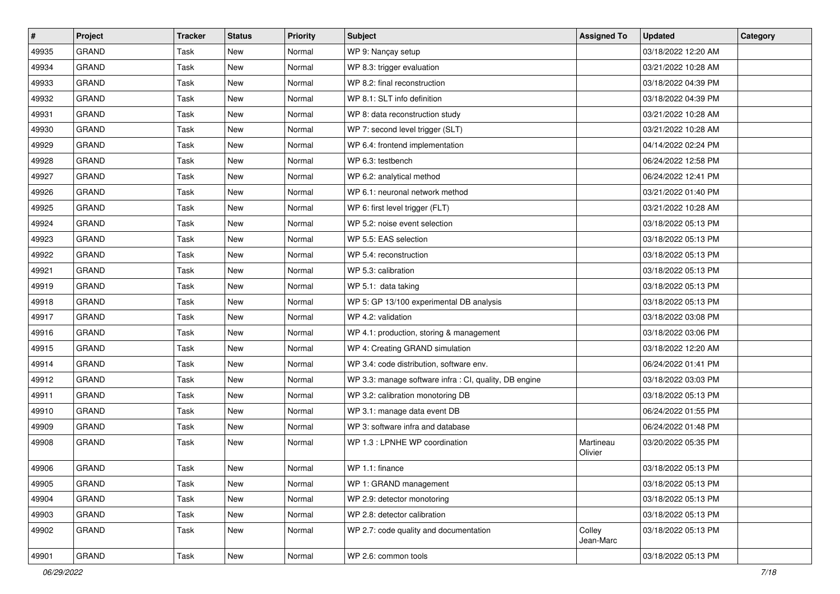| #     | Project      | <b>Tracker</b> | <b>Status</b> | <b>Priority</b> | <b>Subject</b>                                         | <b>Assigned To</b>   | <b>Updated</b>      | Category |
|-------|--------------|----------------|---------------|-----------------|--------------------------------------------------------|----------------------|---------------------|----------|
| 49935 | <b>GRAND</b> | Task           | <b>New</b>    | Normal          | WP 9: Nançay setup                                     |                      | 03/18/2022 12:20 AM |          |
| 49934 | <b>GRAND</b> | Task           | <b>New</b>    | Normal          | WP 8.3: trigger evaluation                             |                      | 03/21/2022 10:28 AM |          |
| 49933 | <b>GRAND</b> | Task           | <b>New</b>    | Normal          | WP 8.2: final reconstruction                           |                      | 03/18/2022 04:39 PM |          |
| 49932 | <b>GRAND</b> | Task           | <b>New</b>    | Normal          | WP 8.1: SLT info definition                            |                      | 03/18/2022 04:39 PM |          |
| 49931 | <b>GRAND</b> | Task           | <b>New</b>    | Normal          | WP 8: data reconstruction study                        |                      | 03/21/2022 10:28 AM |          |
| 49930 | <b>GRAND</b> | Task           | <b>New</b>    | Normal          | WP 7: second level trigger (SLT)                       |                      | 03/21/2022 10:28 AM |          |
| 49929 | <b>GRAND</b> | Task           | <b>New</b>    | Normal          | WP 6.4: frontend implementation                        |                      | 04/14/2022 02:24 PM |          |
| 49928 | <b>GRAND</b> | Task           | <b>New</b>    | Normal          | WP 6.3: testbench                                      |                      | 06/24/2022 12:58 PM |          |
| 49927 | <b>GRAND</b> | Task           | <b>New</b>    | Normal          | WP 6.2: analytical method                              |                      | 06/24/2022 12:41 PM |          |
| 49926 | <b>GRAND</b> | Task           | <b>New</b>    | Normal          | WP 6.1: neuronal network method                        |                      | 03/21/2022 01:40 PM |          |
| 49925 | <b>GRAND</b> | Task           | <b>New</b>    | Normal          | WP 6: first level trigger (FLT)                        |                      | 03/21/2022 10:28 AM |          |
| 49924 | <b>GRAND</b> | Task           | <b>New</b>    | Normal          | WP 5.2: noise event selection                          |                      | 03/18/2022 05:13 PM |          |
| 49923 | <b>GRAND</b> | Task           | <b>New</b>    | Normal          | WP 5.5: EAS selection                                  |                      | 03/18/2022 05:13 PM |          |
| 49922 | <b>GRAND</b> | Task           | <b>New</b>    | Normal          | WP 5.4: reconstruction                                 |                      | 03/18/2022 05:13 PM |          |
| 49921 | <b>GRAND</b> | Task           | <b>New</b>    | Normal          | WP 5.3: calibration                                    |                      | 03/18/2022 05:13 PM |          |
| 49919 | <b>GRAND</b> | Task           | <b>New</b>    | Normal          | WP 5.1: data taking                                    |                      | 03/18/2022 05:13 PM |          |
| 49918 | <b>GRAND</b> | Task           | <b>New</b>    | Normal          | WP 5: GP 13/100 experimental DB analysis               |                      | 03/18/2022 05:13 PM |          |
| 49917 | <b>GRAND</b> | Task           | <b>New</b>    | Normal          | WP 4.2: validation                                     |                      | 03/18/2022 03:08 PM |          |
| 49916 | <b>GRAND</b> | Task           | <b>New</b>    | Normal          | WP 4.1: production, storing & management               |                      | 03/18/2022 03:06 PM |          |
| 49915 | <b>GRAND</b> | Task           | <b>New</b>    | Normal          | WP 4: Creating GRAND simulation                        |                      | 03/18/2022 12:20 AM |          |
| 49914 | <b>GRAND</b> | Task           | <b>New</b>    | Normal          | WP 3.4: code distribution, software env.               |                      | 06/24/2022 01:41 PM |          |
| 49912 | <b>GRAND</b> | Task           | <b>New</b>    | Normal          | WP 3.3: manage software infra : CI, quality, DB engine |                      | 03/18/2022 03:03 PM |          |
| 49911 | <b>GRAND</b> | Task           | New           | Normal          | WP 3.2: calibration monotoring DB                      |                      | 03/18/2022 05:13 PM |          |
| 49910 | <b>GRAND</b> | Task           | <b>New</b>    | Normal          | WP 3.1: manage data event DB                           |                      | 06/24/2022 01:55 PM |          |
| 49909 | <b>GRAND</b> | Task           | New           | Normal          | WP 3: software infra and database                      |                      | 06/24/2022 01:48 PM |          |
| 49908 | <b>GRAND</b> | Task           | <b>New</b>    | Normal          | WP 1.3 : LPNHE WP coordination                         | Martineau<br>Olivier | 03/20/2022 05:35 PM |          |
| 49906 | <b>GRAND</b> | Task           | <b>New</b>    | Normal          | WP 1.1: finance                                        |                      | 03/18/2022 05:13 PM |          |
| 49905 | GRAND        | Task           | New           | Normal          | WP 1: GRAND management                                 |                      | 03/18/2022 05:13 PM |          |
| 49904 | GRAND        | Task           | New           | Normal          | WP 2.9: detector monotoring                            |                      | 03/18/2022 05:13 PM |          |
| 49903 | GRAND        | Task           | New           | Normal          | WP 2.8: detector calibration                           |                      | 03/18/2022 05:13 PM |          |
| 49902 | <b>GRAND</b> | Task           | New           | Normal          | WP 2.7: code quality and documentation                 | Colley<br>Jean-Marc  | 03/18/2022 05:13 PM |          |
| 49901 | GRAND        | Task           | New           | Normal          | WP 2.6: common tools                                   |                      | 03/18/2022 05:13 PM |          |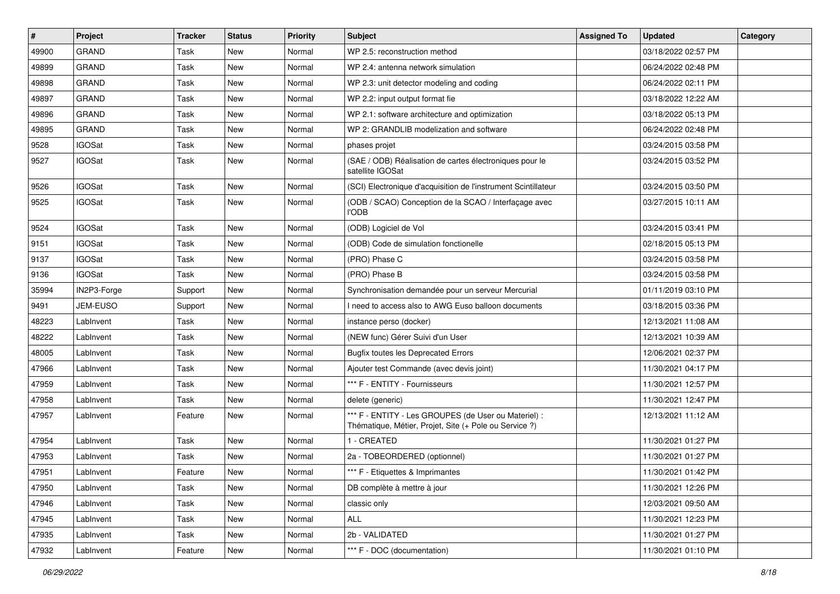| $\vert$ # | Project       | <b>Tracker</b> | <b>Status</b> | <b>Priority</b> | <b>Subject</b>                                                                                                 | <b>Assigned To</b> | <b>Updated</b>      | Category |
|-----------|---------------|----------------|---------------|-----------------|----------------------------------------------------------------------------------------------------------------|--------------------|---------------------|----------|
| 49900     | <b>GRAND</b>  | Task           | <b>New</b>    | Normal          | WP 2.5: reconstruction method                                                                                  |                    | 03/18/2022 02:57 PM |          |
| 49899     | <b>GRAND</b>  | Task           | <b>New</b>    | Normal          | WP 2.4: antenna network simulation                                                                             |                    | 06/24/2022 02:48 PM |          |
| 49898     | <b>GRAND</b>  | Task           | New           | Normal          | WP 2.3: unit detector modeling and coding                                                                      |                    | 06/24/2022 02:11 PM |          |
| 49897     | <b>GRAND</b>  | Task           | <b>New</b>    | Normal          | WP 2.2: input output format fie                                                                                |                    | 03/18/2022 12:22 AM |          |
| 49896     | <b>GRAND</b>  | Task           | <b>New</b>    | Normal          | WP 2.1: software architecture and optimization                                                                 |                    | 03/18/2022 05:13 PM |          |
| 49895     | <b>GRAND</b>  | Task           | <b>New</b>    | Normal          | WP 2: GRANDLIB modelization and software                                                                       |                    | 06/24/2022 02:48 PM |          |
| 9528      | <b>IGOSat</b> | Task           | <b>New</b>    | Normal          | phases projet                                                                                                  |                    | 03/24/2015 03:58 PM |          |
| 9527      | IGOSat        | Task           | <b>New</b>    | Normal          | (SAE / ODB) Réalisation de cartes électroniques pour le<br>satellite IGOSat                                    |                    | 03/24/2015 03:52 PM |          |
| 9526      | <b>IGOSat</b> | Task           | New           | Normal          | (SCI) Electronique d'acquisition de l'instrument Scintillateur                                                 |                    | 03/24/2015 03:50 PM |          |
| 9525      | <b>IGOSat</b> | Task           | <b>New</b>    | Normal          | (ODB / SCAO) Conception de la SCAO / Interfaçage avec<br>l'ODB                                                 |                    | 03/27/2015 10:11 AM |          |
| 9524      | <b>IGOSat</b> | Task           | <b>New</b>    | Normal          | (ODB) Logiciel de Vol                                                                                          |                    | 03/24/2015 03:41 PM |          |
| 9151      | <b>IGOSat</b> | Task           | <b>New</b>    | Normal          | (ODB) Code de simulation fonctionelle                                                                          |                    | 02/18/2015 05:13 PM |          |
| 9137      | <b>IGOSat</b> | Task           | <b>New</b>    | Normal          | (PRO) Phase C                                                                                                  |                    | 03/24/2015 03:58 PM |          |
| 9136      | <b>IGOSat</b> | Task           | New           | Normal          | (PRO) Phase B                                                                                                  |                    | 03/24/2015 03:58 PM |          |
| 35994     | IN2P3-Forge   | Support        | New           | Normal          | Synchronisation demandée pour un serveur Mercurial                                                             |                    | 01/11/2019 03:10 PM |          |
| 9491      | JEM-EUSO      | Support        | New           | Normal          | I need to access also to AWG Euso balloon documents                                                            |                    | 03/18/2015 03:36 PM |          |
| 48223     | LabInvent     | Task           | New           | Normal          | instance perso (docker)                                                                                        |                    | 12/13/2021 11:08 AM |          |
| 48222     | LabInvent     | Task           | <b>New</b>    | Normal          | (NEW func) Gérer Suivi d'un User                                                                               |                    | 12/13/2021 10:39 AM |          |
| 48005     | LabInvent     | Task           | New           | Normal          | <b>Bugfix toutes les Deprecated Errors</b>                                                                     |                    | 12/06/2021 02:37 PM |          |
| 47966     | LabInvent     | Task           | <b>New</b>    | Normal          | Ajouter test Commande (avec devis joint)                                                                       |                    | 11/30/2021 04:17 PM |          |
| 47959     | LabInvent     | Task           | <b>New</b>    | Normal          | *** F - ENTITY - Fournisseurs                                                                                  |                    | 11/30/2021 12:57 PM |          |
| 47958     | LabInvent     | Task           | <b>New</b>    | Normal          | delete (generic)                                                                                               |                    | 11/30/2021 12:47 PM |          |
| 47957     | LabInvent     | Feature        | New           | Normal          | *** F - ENTITY - Les GROUPES (de User ou Materiel) :<br>Thématique, Métier, Projet, Site (+ Pole ou Service ?) |                    | 12/13/2021 11:12 AM |          |
| 47954     | LabInvent     | Task           | New           | Normal          | 1 - CREATED                                                                                                    |                    | 11/30/2021 01:27 PM |          |
| 47953     | LabInvent     | Task           | <b>New</b>    | Normal          | 2a - TOBEORDERED (optionnel)                                                                                   |                    | 11/30/2021 01:27 PM |          |
| 47951     | LabInvent     | Feature        | New           | Normal          | *** F - Etiquettes & Imprimantes                                                                               |                    | 11/30/2021 01:42 PM |          |
| 47950     | LabInvent     | Task           | New           | Normal          | DB complète à mettre à jour                                                                                    |                    | 11/30/2021 12:26 PM |          |
| 47946     | LabInvent     | Task           | New           | Normal          | classic only                                                                                                   |                    | 12/03/2021 09:50 AM |          |
| 47945     | LabInvent     | Task           | New           | Normal          | ALL                                                                                                            |                    | 11/30/2021 12:23 PM |          |
| 47935     | LabInvent     | Task           | New           | Normal          | 2b - VALIDATED                                                                                                 |                    | 11/30/2021 01:27 PM |          |
| 47932     | LabInvent     | Feature        | New           | Normal          | *** F - DOC (documentation)                                                                                    |                    | 11/30/2021 01:10 PM |          |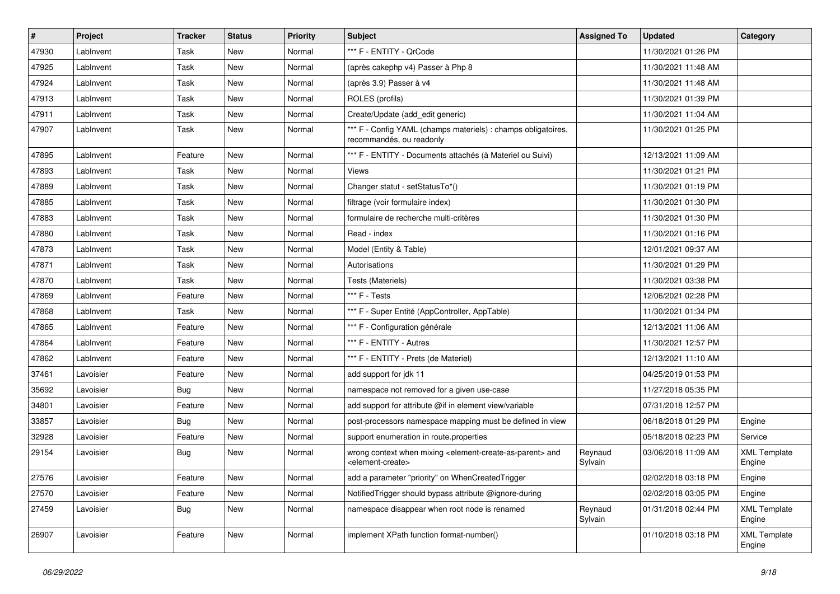| $\pmb{\#}$ | Project   | <b>Tracker</b> | <b>Status</b> | <b>Priority</b> | Subject                                                                                                                   | <b>Assigned To</b> | <b>Updated</b>      | Category                      |
|------------|-----------|----------------|---------------|-----------------|---------------------------------------------------------------------------------------------------------------------------|--------------------|---------------------|-------------------------------|
| 47930      | LabInvent | Task           | New           | Normal          | *** F - ENTITY - QrCode                                                                                                   |                    | 11/30/2021 01:26 PM |                               |
| 47925      | LabInvent | Task           | <b>New</b>    | Normal          | (après cakephp v4) Passer à Php 8                                                                                         |                    | 11/30/2021 11:48 AM |                               |
| 47924      | LabInvent | Task           | New           | Normal          | (après 3.9) Passer à v4                                                                                                   |                    | 11/30/2021 11:48 AM |                               |
| 47913      | LabInvent | Task           | <b>New</b>    | Normal          | ROLES (profils)                                                                                                           |                    | 11/30/2021 01:39 PM |                               |
| 47911      | LabInvent | Task           | New           | Normal          | Create/Update (add edit generic)                                                                                          |                    | 11/30/2021 11:04 AM |                               |
| 47907      | LabInvent | Task           | New           | Normal          | *** F - Config YAML (champs materiels) : champs obligatoires,<br>recommandés, ou readonly                                 |                    | 11/30/2021 01:25 PM |                               |
| 47895      | LabInvent | Feature        | <b>New</b>    | Normal          | *** F - ENTITY - Documents attachés (à Materiel ou Suivi)                                                                 |                    | 12/13/2021 11:09 AM |                               |
| 47893      | LabInvent | Task           | New           | Normal          | Views                                                                                                                     |                    | 11/30/2021 01:21 PM |                               |
| 47889      | LabInvent | Task           | <b>New</b>    | Normal          | Changer statut - setStatusTo*()                                                                                           |                    | 11/30/2021 01:19 PM |                               |
| 47885      | LabInvent | Task           | <b>New</b>    | Normal          | filtrage (voir formulaire index)                                                                                          |                    | 11/30/2021 01:30 PM |                               |
| 47883      | LabInvent | Task           | <b>New</b>    | Normal          | formulaire de recherche multi-critères                                                                                    |                    | 11/30/2021 01:30 PM |                               |
| 47880      | LabInvent | Task           | New           | Normal          | Read - index                                                                                                              |                    | 11/30/2021 01:16 PM |                               |
| 47873      | LabInvent | Task           | New           | Normal          | Model (Entity & Table)                                                                                                    |                    | 12/01/2021 09:37 AM |                               |
| 47871      | LabInvent | Task           | <b>New</b>    | Normal          | Autorisations                                                                                                             |                    | 11/30/2021 01:29 PM |                               |
| 47870      | LabInvent | Task           | <b>New</b>    | Normal          | Tests (Materiels)                                                                                                         |                    | 11/30/2021 03:38 PM |                               |
| 47869      | LabInvent | Feature        | New           | Normal          | *** F - Tests                                                                                                             |                    | 12/06/2021 02:28 PM |                               |
| 47868      | LabInvent | Task           | New           | Normal          | *** F - Super Entité (AppController, AppTable)                                                                            |                    | 11/30/2021 01:34 PM |                               |
| 47865      | LabInvent | Feature        | New           | Normal          | *** F - Configuration générale                                                                                            |                    | 12/13/2021 11:06 AM |                               |
| 47864      | LabInvent | Feature        | <b>New</b>    | Normal          | *** F - ENTITY - Autres                                                                                                   |                    | 11/30/2021 12:57 PM |                               |
| 47862      | LabInvent | Feature        | <b>New</b>    | Normal          | *** F - ENTITY - Prets (de Materiel)                                                                                      |                    | 12/13/2021 11:10 AM |                               |
| 37461      | Lavoisier | Feature        | New           | Normal          | add support for jdk 11                                                                                                    |                    | 04/25/2019 01:53 PM |                               |
| 35692      | Lavoisier | Bug            | New           | Normal          | namespace not removed for a given use-case                                                                                |                    | 11/27/2018 05:35 PM |                               |
| 34801      | Lavoisier | Feature        | <b>New</b>    | Normal          | add support for attribute @if in element view/variable                                                                    |                    | 07/31/2018 12:57 PM |                               |
| 33857      | Lavoisier | <b>Bug</b>     | <b>New</b>    | Normal          | post-processors namespace mapping must be defined in view                                                                 |                    | 06/18/2018 01:29 PM | Engine                        |
| 32928      | Lavoisier | Feature        | New           | Normal          | support enumeration in route properties                                                                                   |                    | 05/18/2018 02:23 PM | Service                       |
| 29154      | Lavoisier | <b>Bug</b>     | New           | Normal          | wrong context when mixing <element-create-as-parent> and<br/><element-create></element-create></element-create-as-parent> | Reynaud<br>Sylvain | 03/06/2018 11:09 AM | <b>XML Template</b><br>Engine |
| 27576      | Lavoisier | Feature        | New           | Normal          | add a parameter "priority" on WhenCreatedTrigger                                                                          |                    | 02/02/2018 03:18 PM | Engine                        |
| 27570      | Lavoisier | Feature        | New           | Normal          | Notified Trigger should bypass attribute @ignore-during                                                                   |                    | 02/02/2018 03:05 PM | Engine                        |
| 27459      | Lavoisier | <b>Bug</b>     | New           | Normal          | namespace disappear when root node is renamed                                                                             | Reynaud<br>Sylvain | 01/31/2018 02:44 PM | <b>XML Template</b><br>Engine |
| 26907      | Lavoisier | Feature        | New           | Normal          | implement XPath function format-number()                                                                                  |                    | 01/10/2018 03:18 PM | <b>XML Template</b><br>Engine |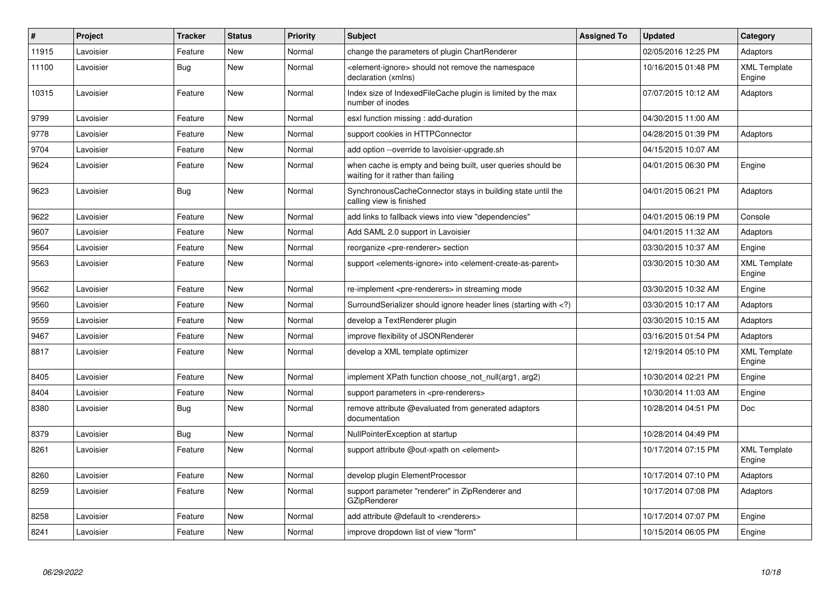| $\#$  | Project   | <b>Tracker</b> | <b>Status</b> | <b>Priority</b> | <b>Subject</b>                                                                                                              | Assigned To | <b>Updated</b>      | Category                      |
|-------|-----------|----------------|---------------|-----------------|-----------------------------------------------------------------------------------------------------------------------------|-------------|---------------------|-------------------------------|
| 11915 | Lavoisier | Feature        | <b>New</b>    | Normal          | change the parameters of plugin ChartRenderer                                                                               |             | 02/05/2016 12:25 PM | Adaptors                      |
| 11100 | Lavoisier | Bug            | New           | Normal          | <element-ignore> should not remove the namespace<br/>declaration (xmlns)</element-ignore>                                   |             | 10/16/2015 01:48 PM | <b>XML Template</b><br>Engine |
| 10315 | Lavoisier | Feature        | New           | Normal          | Index size of IndexedFileCache plugin is limited by the max<br>number of inodes                                             |             | 07/07/2015 10:12 AM | Adaptors                      |
| 9799  | Lavoisier | Feature        | New           | Normal          | esxl function missing: add-duration                                                                                         |             | 04/30/2015 11:00 AM |                               |
| 9778  | Lavoisier | Feature        | New           | Normal          | support cookies in HTTPConnector                                                                                            |             | 04/28/2015 01:39 PM | Adaptors                      |
| 9704  | Lavoisier | Feature        | <b>New</b>    | Normal          | add option --override to lavoisier-upgrade.sh                                                                               |             | 04/15/2015 10:07 AM |                               |
| 9624  | Lavoisier | Feature        | New           | Normal          | when cache is empty and being built, user queries should be<br>waiting for it rather than failing                           |             | 04/01/2015 06:30 PM | Engine                        |
| 9623  | Lavoisier | <b>Bug</b>     | New           | Normal          | SynchronousCacheConnector stays in building state until the<br>calling view is finished                                     |             | 04/01/2015 06:21 PM | Adaptors                      |
| 9622  | Lavoisier | Feature        | New           | Normal          | add links to fallback views into view "dependencies"                                                                        |             | 04/01/2015 06:19 PM | Console                       |
| 9607  | Lavoisier | Feature        | <b>New</b>    | Normal          | Add SAML 2.0 support in Lavoisier                                                                                           |             | 04/01/2015 11:32 AM | Adaptors                      |
| 9564  | Lavoisier | Feature        | New           | Normal          | reorganize <pre-renderer> section</pre-renderer>                                                                            |             | 03/30/2015 10:37 AM | Engine                        |
| 9563  | Lavoisier | Feature        | New           | Normal          | support <elements-ignore> into <element-create-as-parent></element-create-as-parent></elements-ignore>                      |             | 03/30/2015 10:30 AM | <b>XML Template</b><br>Engine |
| 9562  | Lavoisier | Feature        | New           | Normal          | re-implement <pre-renderers> in streaming mode</pre-renderers>                                                              |             | 03/30/2015 10:32 AM | Engine                        |
| 9560  | Lavoisier | Feature        | New           | Normal          | SurroundSerializer should ignore header lines (starting with )</td <td></td> <td>03/30/2015 10:17 AM</td> <td>Adaptors</td> |             | 03/30/2015 10:17 AM | Adaptors                      |
| 9559  | Lavoisier | Feature        | New           | Normal          | develop a TextRenderer plugin                                                                                               |             | 03/30/2015 10:15 AM | Adaptors                      |
| 9467  | Lavoisier | Feature        | <b>New</b>    | Normal          | improve flexibility of JSONRenderer                                                                                         |             | 03/16/2015 01:54 PM | Adaptors                      |
| 8817  | Lavoisier | Feature        | New           | Normal          | develop a XML template optimizer                                                                                            |             | 12/19/2014 05:10 PM | <b>XML Template</b><br>Engine |
| 8405  | Lavoisier | Feature        | New           | Normal          | implement XPath function choose not null(arg1, arg2)                                                                        |             | 10/30/2014 02:21 PM | Engine                        |
| 8404  | Lavoisier | Feature        | <b>New</b>    | Normal          | support parameters in <pre-renderers></pre-renderers>                                                                       |             | 10/30/2014 11:03 AM | Engine                        |
| 8380  | Lavoisier | <b>Bug</b>     | New           | Normal          | remove attribute @evaluated from generated adaptors<br>documentation                                                        |             | 10/28/2014 04:51 PM | Doc                           |
| 8379  | Lavoisier | <b>Bug</b>     | New           | Normal          | NullPointerException at startup                                                                                             |             | 10/28/2014 04:49 PM |                               |
| 8261  | Lavoisier | Feature        | <b>New</b>    | Normal          | support attribute @out-xpath on <element></element>                                                                         |             | 10/17/2014 07:15 PM | <b>XML Template</b><br>Engine |
| 8260  | Lavoisier | Feature        | <b>New</b>    | Normal          | develop plugin ElementProcessor                                                                                             |             | 10/17/2014 07:10 PM | Adaptors                      |
| 8259  | Lavoisier | Feature        | New           | Normal          | support parameter "renderer" in ZipRenderer and<br><b>GZipRenderer</b>                                                      |             | 10/17/2014 07:08 PM | Adaptors                      |
| 8258  | Lavoisier | Feature        | <b>New</b>    | Normal          | add attribute @default to <renderers></renderers>                                                                           |             | 10/17/2014 07:07 PM | Engine                        |
| 8241  | Lavoisier | Feature        | <b>New</b>    | Normal          | improve dropdown list of view "form"                                                                                        |             | 10/15/2014 06:05 PM | Engine                        |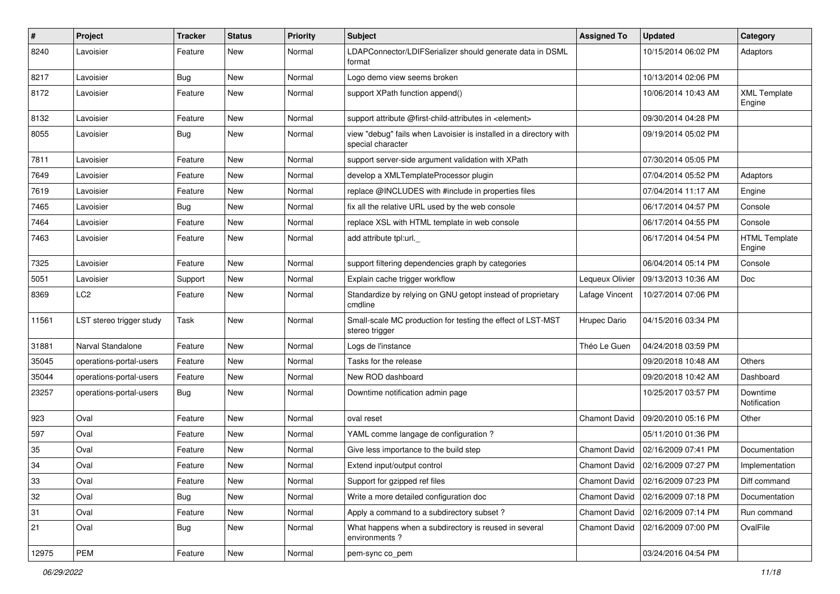| $\#$  | Project                  | <b>Tracker</b> | <b>Status</b> | <b>Priority</b> | Subject                                                                                 | <b>Assigned To</b>   | <b>Updated</b>      | Category                       |
|-------|--------------------------|----------------|---------------|-----------------|-----------------------------------------------------------------------------------------|----------------------|---------------------|--------------------------------|
| 8240  | Lavoisier                | Feature        | New           | Normal          | LDAPConnector/LDIFSerializer should generate data in DSML<br>format                     |                      | 10/15/2014 06:02 PM | Adaptors                       |
| 8217  | Lavoisier                | <b>Bug</b>     | <b>New</b>    | Normal          | Logo demo view seems broken                                                             |                      | 10/13/2014 02:06 PM |                                |
| 8172  | Lavoisier                | Feature        | New           | Normal          | support XPath function append()                                                         |                      | 10/06/2014 10:43 AM | <b>XML Template</b><br>Engine  |
| 8132  | Lavoisier                | Feature        | New           | Normal          | support attribute @first-child-attributes in <element></element>                        |                      | 09/30/2014 04:28 PM |                                |
| 8055  | Lavoisier                | <b>Bug</b>     | New           | Normal          | view "debug" fails when Lavoisier is installed in a directory with<br>special character |                      | 09/19/2014 05:02 PM |                                |
| 7811  | Lavoisier                | Feature        | New           | Normal          | support server-side argument validation with XPath                                      |                      | 07/30/2014 05:05 PM |                                |
| 7649  | Lavoisier                | Feature        | New           | Normal          | develop a XMLTemplateProcessor plugin                                                   |                      | 07/04/2014 05:52 PM | Adaptors                       |
| 7619  | Lavoisier                | Feature        | New           | Normal          | replace @INCLUDES with #include in properties files                                     |                      | 07/04/2014 11:17 AM | Engine                         |
| 7465  | Lavoisier                | <b>Bug</b>     | New           | Normal          | fix all the relative URL used by the web console                                        |                      | 06/17/2014 04:57 PM | Console                        |
| 7464  | Lavoisier                | Feature        | New           | Normal          | replace XSL with HTML template in web console                                           |                      | 06/17/2014 04:55 PM | Console                        |
| 7463  | Lavoisier                | Feature        | New           | Normal          | add attribute tpl:url._                                                                 |                      | 06/17/2014 04:54 PM | <b>HTML Template</b><br>Engine |
| 7325  | Lavoisier                | Feature        | New           | Normal          | support filtering dependencies graph by categories                                      |                      | 06/04/2014 05:14 PM | Console                        |
| 5051  | Lavoisier                | Support        | New           | Normal          | Explain cache trigger workflow                                                          | Lequeux Olivier      | 09/13/2013 10:36 AM | Doc                            |
| 8369  | LC <sub>2</sub>          | Feature        | New           | Normal          | Standardize by relying on GNU getopt instead of proprietary<br>cmdline                  | Lafage Vincent       | 10/27/2014 07:06 PM |                                |
| 11561 | LST stereo trigger study | Task           | New           | Normal          | Small-scale MC production for testing the effect of LST-MST<br>stereo trigger           | Hrupec Dario         | 04/15/2016 03:34 PM |                                |
| 31881 | Narval Standalone        | Feature        | New           | Normal          | Logs de l'instance                                                                      | Théo Le Guen         | 04/24/2018 03:59 PM |                                |
| 35045 | operations-portal-users  | Feature        | <b>New</b>    | Normal          | Tasks for the release                                                                   |                      | 09/20/2018 10:48 AM | <b>Others</b>                  |
| 35044 | operations-portal-users  | Feature        | New           | Normal          | New ROD dashboard                                                                       |                      | 09/20/2018 10:42 AM | Dashboard                      |
| 23257 | operations-portal-users  | <b>Bug</b>     | New           | Normal          | Downtime notification admin page                                                        |                      | 10/25/2017 03:57 PM | Downtime<br>Notification       |
| 923   | Oval                     | Feature        | New           | Normal          | oval reset                                                                              | Chamont David        | 09/20/2010 05:16 PM | Other                          |
| 597   | Oval                     | Feature        | New           | Normal          | YAML comme langage de configuration ?                                                   |                      | 05/11/2010 01:36 PM |                                |
| 35    | Oval                     | Feature        | New           | Normal          | Give less importance to the build step                                                  | <b>Chamont David</b> | 02/16/2009 07:41 PM | Documentation                  |
| 34    | Oval                     | Feature        | New           | Normal          | Extend input/output control                                                             | <b>Chamont David</b> | 02/16/2009 07:27 PM | Implementation                 |
| 33    | Oval                     | Feature        | <b>New</b>    | Normal          | Support for gzipped ref files                                                           | Chamont David        | 02/16/2009 07:23 PM | Diff command                   |
| 32    | Oval                     | Bug            | New           | Normal          | Write a more detailed configuration doc                                                 | Chamont David        | 02/16/2009 07:18 PM | Documentation                  |
| 31    | Oval                     | Feature        | New           | Normal          | Apply a command to a subdirectory subset?                                               | Chamont David        | 02/16/2009 07:14 PM | Run command                    |
| 21    | Oval                     | <b>Bug</b>     | New           | Normal          | What happens when a subdirectory is reused in several<br>environments?                  | Chamont David        | 02/16/2009 07:00 PM | OvalFile                       |
| 12975 | PEM                      | Feature        | New           | Normal          | pem-sync co pem                                                                         |                      | 03/24/2016 04:54 PM |                                |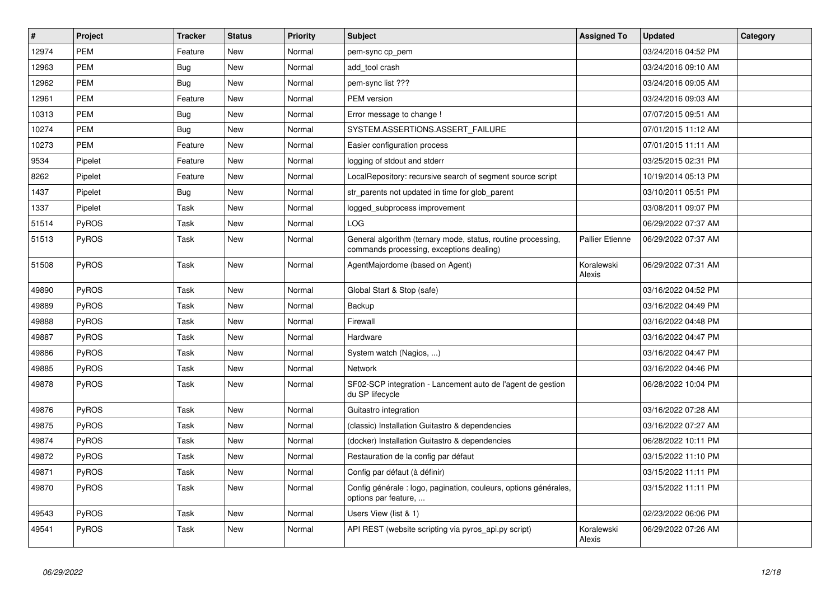| $\vert$ # | Project      | <b>Tracker</b> | <b>Status</b> | <b>Priority</b> | <b>Subject</b>                                                                                           | <b>Assigned To</b>     | <b>Updated</b>      | Category |
|-----------|--------------|----------------|---------------|-----------------|----------------------------------------------------------------------------------------------------------|------------------------|---------------------|----------|
| 12974     | <b>PEM</b>   | Feature        | <b>New</b>    | Normal          | pem-sync cp pem                                                                                          |                        | 03/24/2016 04:52 PM |          |
| 12963     | <b>PEM</b>   | Bug            | <b>New</b>    | Normal          | add tool crash                                                                                           |                        | 03/24/2016 09:10 AM |          |
| 12962     | <b>PEM</b>   | <b>Bug</b>     | <b>New</b>    | Normal          | pem-sync list ???                                                                                        |                        | 03/24/2016 09:05 AM |          |
| 12961     | <b>PEM</b>   | Feature        | <b>New</b>    | Normal          | <b>PEM</b> version                                                                                       |                        | 03/24/2016 09:03 AM |          |
| 10313     | <b>PEM</b>   | <b>Bug</b>     | New           | Normal          | Error message to change !                                                                                |                        | 07/07/2015 09:51 AM |          |
| 10274     | <b>PEM</b>   | <b>Bug</b>     | New           | Normal          | SYSTEM.ASSERTIONS.ASSERT FAILURE                                                                         |                        | 07/01/2015 11:12 AM |          |
| 10273     | <b>PEM</b>   | Feature        | New           | Normal          | Easier configuration process                                                                             |                        | 07/01/2015 11:11 AM |          |
| 9534      | Pipelet      | Feature        | New           | Normal          | logging of stdout and stderr                                                                             |                        | 03/25/2015 02:31 PM |          |
| 8262      | Pipelet      | Feature        | <b>New</b>    | Normal          | LocalRepository: recursive search of segment source script                                               |                        | 10/19/2014 05:13 PM |          |
| 1437      | Pipelet      | Bug            | New           | Normal          | str_parents not updated in time for glob_parent                                                          |                        | 03/10/2011 05:51 PM |          |
| 1337      | Pipelet      | Task           | <b>New</b>    | Normal          | logged subprocess improvement                                                                            |                        | 03/08/2011 09:07 PM |          |
| 51514     | PyROS        | Task           | <b>New</b>    | Normal          | LOG                                                                                                      |                        | 06/29/2022 07:37 AM |          |
| 51513     | <b>PyROS</b> | Task           | New           | Normal          | General algorithm (ternary mode, status, routine processing,<br>commands processing, exceptions dealing) | <b>Pallier Etienne</b> | 06/29/2022 07:37 AM |          |
| 51508     | <b>PyROS</b> | Task           | <b>New</b>    | Normal          | AgentMajordome (based on Agent)                                                                          | Koralewski<br>Alexis   | 06/29/2022 07:31 AM |          |
| 49890     | PyROS        | Task           | New           | Normal          | Global Start & Stop (safe)                                                                               |                        | 03/16/2022 04:52 PM |          |
| 49889     | PyROS        | Task           | New           | Normal          | Backup                                                                                                   |                        | 03/16/2022 04:49 PM |          |
| 49888     | PyROS        | Task           | New           | Normal          | Firewall                                                                                                 |                        | 03/16/2022 04:48 PM |          |
| 49887     | PyROS        | Task           | <b>New</b>    | Normal          | Hardware                                                                                                 |                        | 03/16/2022 04:47 PM |          |
| 49886     | <b>PyROS</b> | Task           | <b>New</b>    | Normal          | System watch (Nagios, )                                                                                  |                        | 03/16/2022 04:47 PM |          |
| 49885     | <b>PyROS</b> | Task           | New           | Normal          | <b>Network</b>                                                                                           |                        | 03/16/2022 04:46 PM |          |
| 49878     | PyROS        | Task           | <b>New</b>    | Normal          | SF02-SCP integration - Lancement auto de l'agent de gestion<br>du SP lifecycle                           |                        | 06/28/2022 10:04 PM |          |
| 49876     | PyROS        | Task           | <b>New</b>    | Normal          | Guitastro integration                                                                                    |                        | 03/16/2022 07:28 AM |          |
| 49875     | PyROS        | Task           | New           | Normal          | (classic) Installation Guitastro & dependencies                                                          |                        | 03/16/2022 07:27 AM |          |
| 49874     | <b>PyROS</b> | Task           | <b>New</b>    | Normal          | (docker) Installation Guitastro & dependencies                                                           |                        | 06/28/2022 10:11 PM |          |
| 49872     | PyROS        | Task           | <b>New</b>    | Normal          | Restauration de la config par défaut                                                                     |                        | 03/15/2022 11:10 PM |          |
| 49871     | PyROS        | Task           | <b>New</b>    | Normal          | Config par défaut (à définir)                                                                            |                        | 03/15/2022 11:11 PM |          |
| 49870     | <b>PyROS</b> | Task           | New           | Normal          | Config générale : logo, pagination, couleurs, options générales,<br>options par feature,                 |                        | 03/15/2022 11:11 PM |          |
| 49543     | PyROS        | Task           | <b>New</b>    | Normal          | Users View (list & 1)                                                                                    |                        | 02/23/2022 06:06 PM |          |
| 49541     | PyROS        | Task           | <b>New</b>    | Normal          | API REST (website scripting via pyros_api.py script)                                                     | Koralewski<br>Alexis   | 06/29/2022 07:26 AM |          |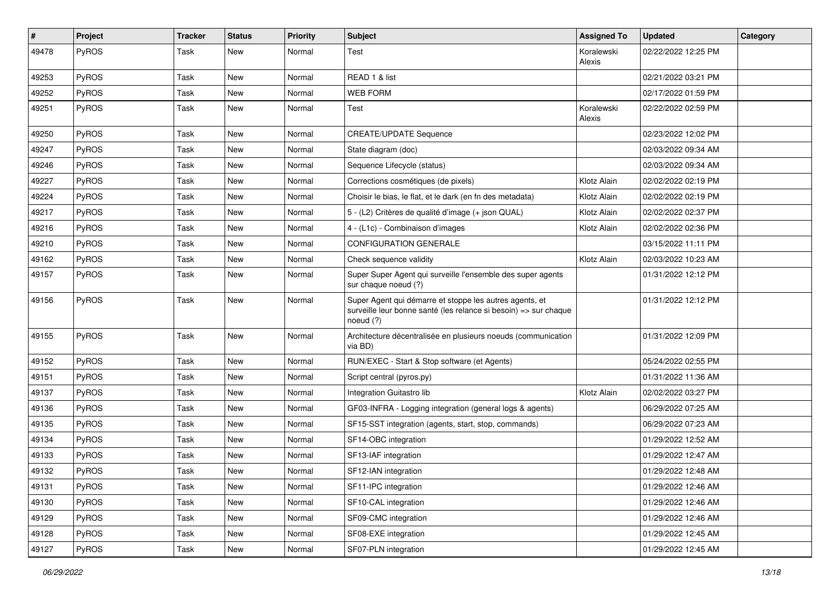| #     | Project      | <b>Tracker</b> | <b>Status</b> | <b>Priority</b> | <b>Subject</b>                                                                                                                           | <b>Assigned To</b>   | <b>Updated</b>      | Category |
|-------|--------------|----------------|---------------|-----------------|------------------------------------------------------------------------------------------------------------------------------------------|----------------------|---------------------|----------|
| 49478 | PyROS        | Task           | New           | Normal          | Test                                                                                                                                     | Koralewski<br>Alexis | 02/22/2022 12:25 PM |          |
| 49253 | <b>PyROS</b> | Task           | <b>New</b>    | Normal          | READ 1 & list                                                                                                                            |                      | 02/21/2022 03:21 PM |          |
| 49252 | PyROS        | Task           | <b>New</b>    | Normal          | <b>WEB FORM</b>                                                                                                                          |                      | 02/17/2022 01:59 PM |          |
| 49251 | <b>PyROS</b> | Task           | <b>New</b>    | Normal          | Test                                                                                                                                     | Koralewski<br>Alexis | 02/22/2022 02:59 PM |          |
| 49250 | PyROS        | Task           | <b>New</b>    | Normal          | <b>CREATE/UPDATE Sequence</b>                                                                                                            |                      | 02/23/2022 12:02 PM |          |
| 49247 | PyROS        | Task           | <b>New</b>    | Normal          | State diagram (doc)                                                                                                                      |                      | 02/03/2022 09:34 AM |          |
| 49246 | PyROS        | Task           | <b>New</b>    | Normal          | Sequence Lifecycle (status)                                                                                                              |                      | 02/03/2022 09:34 AM |          |
| 49227 | PyROS        | Task           | <b>New</b>    | Normal          | Corrections cosmétiques (de pixels)                                                                                                      | Klotz Alain          | 02/02/2022 02:19 PM |          |
| 49224 | PyROS        | Task           | <b>New</b>    | Normal          | Choisir le bias, le flat, et le dark (en fn des metadata)                                                                                | Klotz Alain          | 02/02/2022 02:19 PM |          |
| 49217 | PyROS        | Task           | New           | Normal          | 5 - (L2) Critères de qualité d'image (+ json QUAL)                                                                                       | Klotz Alain          | 02/02/2022 02:37 PM |          |
| 49216 | PyROS        | Task           | <b>New</b>    | Normal          | 4 - (L1c) - Combinaison d'images                                                                                                         | Klotz Alain          | 02/02/2022 02:36 PM |          |
| 49210 | PyROS        | Task           | <b>New</b>    | Normal          | <b>CONFIGURATION GENERALE</b>                                                                                                            |                      | 03/15/2022 11:11 PM |          |
| 49162 | PyROS        | Task           | <b>New</b>    | Normal          | Check sequence validity                                                                                                                  | Klotz Alain          | 02/03/2022 10:23 AM |          |
| 49157 | <b>PyROS</b> | Task           | <b>New</b>    | Normal          | Super Super Agent qui surveille l'ensemble des super agents<br>sur chaque noeud (?)                                                      |                      | 01/31/2022 12:12 PM |          |
| 49156 | PyROS        | Task           | <b>New</b>    | Normal          | Super Agent qui démarre et stoppe les autres agents, et<br>surveille leur bonne santé (les relance si besoin) => sur chaque<br>noeud (?) |                      | 01/31/2022 12:12 PM |          |
| 49155 | PyROS        | Task           | <b>New</b>    | Normal          | Architecture décentralisée en plusieurs noeuds (communication<br>via BD)                                                                 |                      | 01/31/2022 12:09 PM |          |
| 49152 | PyROS        | Task           | <b>New</b>    | Normal          | RUN/EXEC - Start & Stop software (et Agents)                                                                                             |                      | 05/24/2022 02:55 PM |          |
| 49151 | PyROS        | Task           | <b>New</b>    | Normal          | Script central (pyros.py)                                                                                                                |                      | 01/31/2022 11:36 AM |          |
| 49137 | PyROS        | Task           | <b>New</b>    | Normal          | Integration Guitastro lib                                                                                                                | Klotz Alain          | 02/02/2022 03:27 PM |          |
| 49136 | PyROS        | Task           | <b>New</b>    | Normal          | GF03-INFRA - Logging integration (general logs & agents)                                                                                 |                      | 06/29/2022 07:25 AM |          |
| 49135 | PyROS        | Task           | <b>New</b>    | Normal          | SF15-SST integration (agents, start, stop, commands)                                                                                     |                      | 06/29/2022 07:23 AM |          |
| 49134 | PyROS        | Task           | <b>New</b>    | Normal          | SF14-OBC integration                                                                                                                     |                      | 01/29/2022 12:52 AM |          |
| 49133 | PyROS        | Task           | <b>New</b>    | Normal          | SF13-IAF integration                                                                                                                     |                      | 01/29/2022 12:47 AM |          |
| 49132 | PyROS        | Task           | New           | Normal          | SF12-IAN integration                                                                                                                     |                      | 01/29/2022 12:48 AM |          |
| 49131 | PyROS        | Task           | New           | Normal          | SF11-IPC integration                                                                                                                     |                      | 01/29/2022 12:46 AM |          |
| 49130 | PyROS        | Task           | New           | Normal          | SF10-CAL integration                                                                                                                     |                      | 01/29/2022 12:46 AM |          |
| 49129 | PyROS        | Task           | New           | Normal          | SF09-CMC integration                                                                                                                     |                      | 01/29/2022 12:46 AM |          |
| 49128 | PyROS        | Task           | New           | Normal          | SF08-EXE integration                                                                                                                     |                      | 01/29/2022 12:45 AM |          |
| 49127 | PyROS        | Task           | New           | Normal          | SF07-PLN integration                                                                                                                     |                      | 01/29/2022 12:45 AM |          |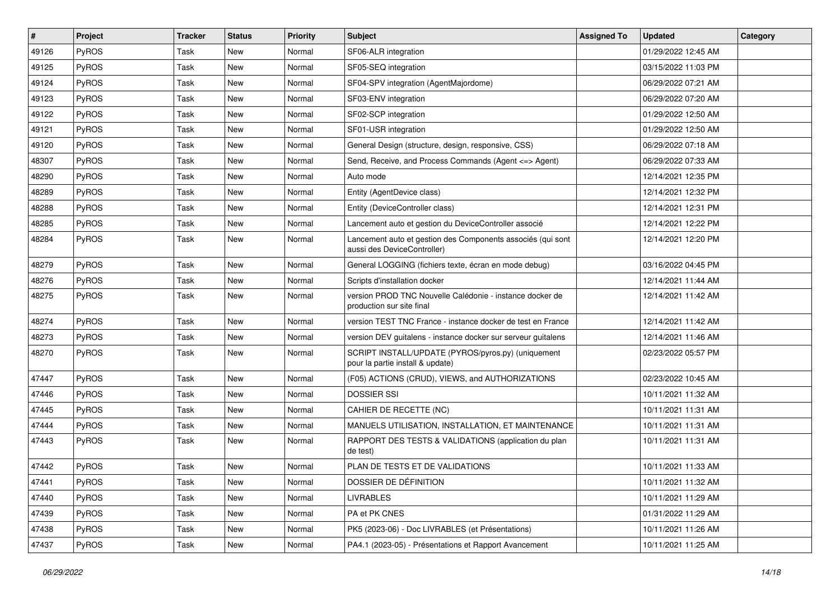| $\sharp$ | Project | <b>Tracker</b> | <b>Status</b> | <b>Priority</b> | <b>Subject</b>                                                                             | <b>Assigned To</b> | <b>Updated</b>      | Category |
|----------|---------|----------------|---------------|-----------------|--------------------------------------------------------------------------------------------|--------------------|---------------------|----------|
| 49126    | PyROS   | Task           | New           | Normal          | SF06-ALR integration                                                                       |                    | 01/29/2022 12:45 AM |          |
| 49125    | PyROS   | Task           | <b>New</b>    | Normal          | SF05-SEQ integration                                                                       |                    | 03/15/2022 11:03 PM |          |
| 49124    | PyROS   | Task           | <b>New</b>    | Normal          | SF04-SPV integration (AgentMajordome)                                                      |                    | 06/29/2022 07:21 AM |          |
| 49123    | PyROS   | Task           | <b>New</b>    | Normal          | SF03-ENV integration                                                                       |                    | 06/29/2022 07:20 AM |          |
| 49122    | PyROS   | Task           | <b>New</b>    | Normal          | SF02-SCP integration                                                                       |                    | 01/29/2022 12:50 AM |          |
| 49121    | PyROS   | Task           | <b>New</b>    | Normal          | SF01-USR integration                                                                       |                    | 01/29/2022 12:50 AM |          |
| 49120    | PyROS   | Task           | <b>New</b>    | Normal          | General Design (structure, design, responsive, CSS)                                        |                    | 06/29/2022 07:18 AM |          |
| 48307    | PyROS   | Task           | New           | Normal          | Send, Receive, and Process Commands (Agent <= > Agent)                                     |                    | 06/29/2022 07:33 AM |          |
| 48290    | PyROS   | Task           | <b>New</b>    | Normal          | Auto mode                                                                                  |                    | 12/14/2021 12:35 PM |          |
| 48289    | PyROS   | Task           | <b>New</b>    | Normal          | Entity (AgentDevice class)                                                                 |                    | 12/14/2021 12:32 PM |          |
| 48288    | PyROS   | Task           | <b>New</b>    | Normal          | Entity (DeviceController class)                                                            |                    | 12/14/2021 12:31 PM |          |
| 48285    | PyROS   | Task           | <b>New</b>    | Normal          | Lancement auto et gestion du DeviceController associé                                      |                    | 12/14/2021 12:22 PM |          |
| 48284    | PyROS   | Task           | <b>New</b>    | Normal          | Lancement auto et gestion des Components associés (qui sont<br>aussi des DeviceController) |                    | 12/14/2021 12:20 PM |          |
| 48279    | PyROS   | Task           | <b>New</b>    | Normal          | General LOGGING (fichiers texte, écran en mode debug)                                      |                    | 03/16/2022 04:45 PM |          |
| 48276    | PyROS   | Task           | <b>New</b>    | Normal          | Scripts d'installation docker                                                              |                    | 12/14/2021 11:44 AM |          |
| 48275    | PyROS   | Task           | New           | Normal          | version PROD TNC Nouvelle Calédonie - instance docker de<br>production sur site final      |                    | 12/14/2021 11:42 AM |          |
| 48274    | PyROS   | Task           | <b>New</b>    | Normal          | version TEST TNC France - instance docker de test en France                                |                    | 12/14/2021 11:42 AM |          |
| 48273    | PyROS   | Task           | <b>New</b>    | Normal          | version DEV guitalens - instance docker sur serveur guitalens                              |                    | 12/14/2021 11:46 AM |          |
| 48270    | PyROS   | Task           | New           | Normal          | SCRIPT INSTALL/UPDATE (PYROS/pyros.py) (uniquement<br>pour la partie install & update)     |                    | 02/23/2022 05:57 PM |          |
| 47447    | PyROS   | Task           | <b>New</b>    | Normal          | (F05) ACTIONS (CRUD), VIEWS, and AUTHORIZATIONS                                            |                    | 02/23/2022 10:45 AM |          |
| 47446    | PyROS   | Task           | New           | Normal          | <b>DOSSIER SSI</b>                                                                         |                    | 10/11/2021 11:32 AM |          |
| 47445    | PyROS   | Task           | <b>New</b>    | Normal          | CAHIER DE RECETTE (NC)                                                                     |                    | 10/11/2021 11:31 AM |          |
| 47444    | PyROS   | Task           | <b>New</b>    | Normal          | MANUELS UTILISATION, INSTALLATION, ET MAINTENANCE                                          |                    | 10/11/2021 11:31 AM |          |
| 47443    | PyROS   | Task           | New           | Normal          | RAPPORT DES TESTS & VALIDATIONS (application du plan<br>de test)                           |                    | 10/11/2021 11:31 AM |          |
| 47442    | PyROS   | Task           | New           | Normal          | PLAN DE TESTS ET DE VALIDATIONS                                                            |                    | 10/11/2021 11:33 AM |          |
| 47441    | PyROS   | Task           | New           | Normal          | DOSSIER DE DÉFINITION                                                                      |                    | 10/11/2021 11:32 AM |          |
| 47440    | PyROS   | Task           | New           | Normal          | <b>LIVRABLES</b>                                                                           |                    | 10/11/2021 11:29 AM |          |
| 47439    | PyROS   | Task           | New           | Normal          | PA et PK CNES                                                                              |                    | 01/31/2022 11:29 AM |          |
| 47438    | PyROS   | Task           | New           | Normal          | PK5 (2023-06) - Doc LIVRABLES (et Présentations)                                           |                    | 10/11/2021 11:26 AM |          |
| 47437    | PyROS   | Task           | New           | Normal          | PA4.1 (2023-05) - Présentations et Rapport Avancement                                      |                    | 10/11/2021 11:25 AM |          |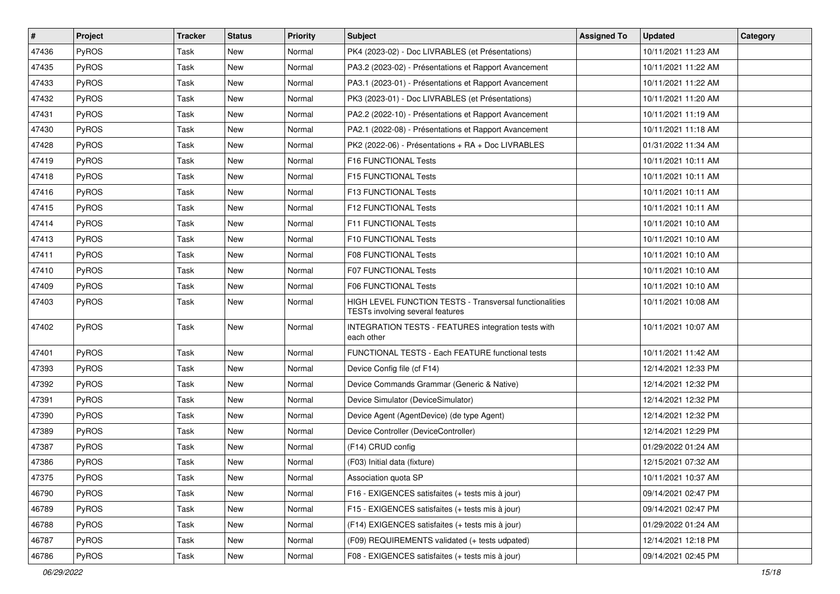| $\vert$ # | Project      | <b>Tracker</b> | <b>Status</b> | Priority | Subject                                                                                     | <b>Assigned To</b> | <b>Updated</b>      | Category |
|-----------|--------------|----------------|---------------|----------|---------------------------------------------------------------------------------------------|--------------------|---------------------|----------|
| 47436     | PyROS        | Task           | New           | Normal   | PK4 (2023-02) - Doc LIVRABLES (et Présentations)                                            |                    | 10/11/2021 11:23 AM |          |
| 47435     | PyROS        | Task           | <b>New</b>    | Normal   | PA3.2 (2023-02) - Présentations et Rapport Avancement                                       |                    | 10/11/2021 11:22 AM |          |
| 47433     | PyROS        | Task           | New           | Normal   | PA3.1 (2023-01) - Présentations et Rapport Avancement                                       |                    | 10/11/2021 11:22 AM |          |
| 47432     | PyROS        | Task           | <b>New</b>    | Normal   | PK3 (2023-01) - Doc LIVRABLES (et Présentations)                                            |                    | 10/11/2021 11:20 AM |          |
| 47431     | PyROS        | Task           | <b>New</b>    | Normal   | PA2.2 (2022-10) - Présentations et Rapport Avancement                                       |                    | 10/11/2021 11:19 AM |          |
| 47430     | PyROS        | Task           | New           | Normal   | PA2.1 (2022-08) - Présentations et Rapport Avancement                                       |                    | 10/11/2021 11:18 AM |          |
| 47428     | PyROS        | Task           | <b>New</b>    | Normal   | PK2 (2022-06) - Présentations + RA + Doc LIVRABLES                                          |                    | 01/31/2022 11:34 AM |          |
| 47419     | PyROS        | Task           | New           | Normal   | F16 FUNCTIONAL Tests                                                                        |                    | 10/11/2021 10:11 AM |          |
| 47418     | PyROS        | Task           | New           | Normal   | F15 FUNCTIONAL Tests                                                                        |                    | 10/11/2021 10:11 AM |          |
| 47416     | PyROS        | Task           | <b>New</b>    | Normal   | F13 FUNCTIONAL Tests                                                                        |                    | 10/11/2021 10:11 AM |          |
| 47415     | <b>PyROS</b> | Task           | New           | Normal   | <b>F12 FUNCTIONAL Tests</b>                                                                 |                    | 10/11/2021 10:11 AM |          |
| 47414     | PyROS        | Task           | New           | Normal   | F11 FUNCTIONAL Tests                                                                        |                    | 10/11/2021 10:10 AM |          |
| 47413     | PyROS        | Task           | New           | Normal   | F10 FUNCTIONAL Tests                                                                        |                    | 10/11/2021 10:10 AM |          |
| 47411     | PyROS        | Task           | <b>New</b>    | Normal   | <b>F08 FUNCTIONAL Tests</b>                                                                 |                    | 10/11/2021 10:10 AM |          |
| 47410     | PyROS        | Task           | <b>New</b>    | Normal   | <b>F07 FUNCTIONAL Tests</b>                                                                 |                    | 10/11/2021 10:10 AM |          |
| 47409     | PyROS        | Task           | New           | Normal   | <b>F06 FUNCTIONAL Tests</b>                                                                 |                    | 10/11/2021 10:10 AM |          |
| 47403     | PyROS        | Task           | New           | Normal   | HIGH LEVEL FUNCTION TESTS - Transversal functionalities<br>TESTs involving several features |                    | 10/11/2021 10:08 AM |          |
| 47402     | PyROS        | Task           | <b>New</b>    | Normal   | <b>INTEGRATION TESTS - FEATURES integration tests with</b><br>each other                    |                    | 10/11/2021 10:07 AM |          |
| 47401     | PyROS        | Task           | New           | Normal   | FUNCTIONAL TESTS - Each FEATURE functional tests                                            |                    | 10/11/2021 11:42 AM |          |
| 47393     | PyROS        | Task           | New           | Normal   | Device Config file (cf F14)                                                                 |                    | 12/14/2021 12:33 PM |          |
| 47392     | PyROS        | Task           | <b>New</b>    | Normal   | Device Commands Grammar (Generic & Native)                                                  |                    | 12/14/2021 12:32 PM |          |
| 47391     | PyROS        | Task           | New           | Normal   | Device Simulator (DeviceSimulator)                                                          |                    | 12/14/2021 12:32 PM |          |
| 47390     | PyROS        | Task           | <b>New</b>    | Normal   | Device Agent (AgentDevice) (de type Agent)                                                  |                    | 12/14/2021 12:32 PM |          |
| 47389     | PyROS        | Task           | New           | Normal   | Device Controller (DeviceController)                                                        |                    | 12/14/2021 12:29 PM |          |
| 47387     | PyROS        | Task           | New           | Normal   | (F14) CRUD config                                                                           |                    | 01/29/2022 01:24 AM |          |
| 47386     | PyROS        | Task           | New           | Normal   | (F03) Initial data (fixture)                                                                |                    | 12/15/2021 07:32 AM |          |
| 47375     | PyROS        | Task           | New           | Normal   | Association quota SP                                                                        |                    | 10/11/2021 10:37 AM |          |
| 46790     | PyROS        | Task           | New           | Normal   | F16 - EXIGENCES satisfaites (+ tests mis à jour)                                            |                    | 09/14/2021 02:47 PM |          |
| 46789     | PyROS        | Task           | New           | Normal   | F15 - EXIGENCES satisfaites (+ tests mis à jour)                                            |                    | 09/14/2021 02:47 PM |          |
| 46788     | PyROS        | Task           | New           | Normal   | (F14) EXIGENCES satisfaites (+ tests mis à jour)                                            |                    | 01/29/2022 01:24 AM |          |
| 46787     | PyROS        | Task           | New           | Normal   | (F09) REQUIREMENTS validated (+ tests udpated)                                              |                    | 12/14/2021 12:18 PM |          |
| 46786     | PyROS        | Task           | New           | Normal   | F08 - EXIGENCES satisfaites (+ tests mis à jour)                                            |                    | 09/14/2021 02:45 PM |          |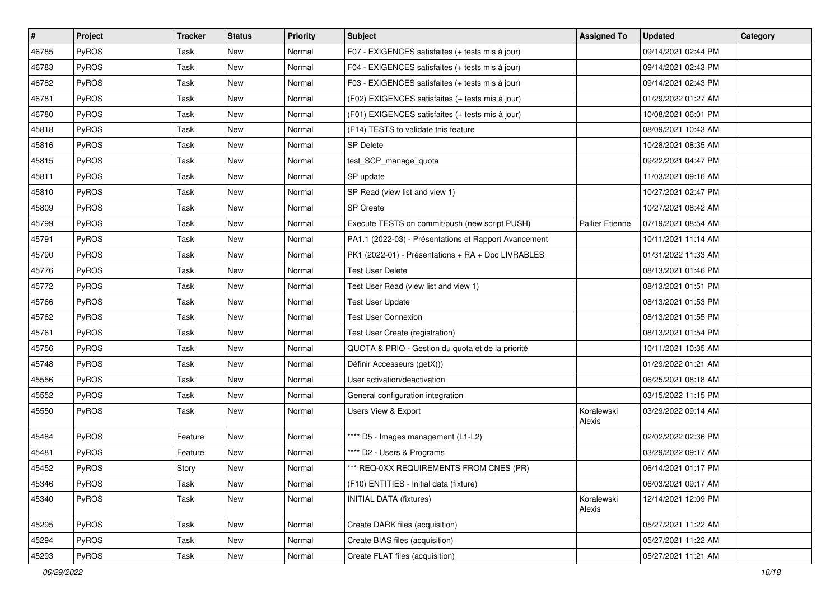| #     | Project      | <b>Tracker</b> | <b>Status</b> | <b>Priority</b> | <b>Subject</b>                                        | <b>Assigned To</b>     | <b>Updated</b>      | Category |
|-------|--------------|----------------|---------------|-----------------|-------------------------------------------------------|------------------------|---------------------|----------|
| 46785 | PyROS        | Task           | New           | Normal          | F07 - EXIGENCES satisfaites (+ tests mis à jour)      |                        | 09/14/2021 02:44 PM |          |
| 46783 | PyROS        | Task           | <b>New</b>    | Normal          | F04 - EXIGENCES satisfaites (+ tests mis à jour)      |                        | 09/14/2021 02:43 PM |          |
| 46782 | PyROS        | Task           | New           | Normal          | F03 - EXIGENCES satisfaites (+ tests mis à jour)      |                        | 09/14/2021 02:43 PM |          |
| 46781 | PyROS        | Task           | <b>New</b>    | Normal          | (F02) EXIGENCES satisfaites (+ tests mis à jour)      |                        | 01/29/2022 01:27 AM |          |
| 46780 | PyROS        | Task           | <b>New</b>    | Normal          | (F01) EXIGENCES satisfaites (+ tests mis à jour)      |                        | 10/08/2021 06:01 PM |          |
| 45818 | PyROS        | Task           | New           | Normal          | (F14) TESTS to validate this feature                  |                        | 08/09/2021 10:43 AM |          |
| 45816 | PyROS        | Task           | <b>New</b>    | Normal          | <b>SP Delete</b>                                      |                        | 10/28/2021 08:35 AM |          |
| 45815 | PyROS        | Task           | <b>New</b>    | Normal          | test_SCP_manage_quota                                 |                        | 09/22/2021 04:47 PM |          |
| 45811 | PyROS        | Task           | <b>New</b>    | Normal          | SP update                                             |                        | 11/03/2021 09:16 AM |          |
| 45810 | PyROS        | Task           | <b>New</b>    | Normal          | SP Read (view list and view 1)                        |                        | 10/27/2021 02:47 PM |          |
| 45809 | PyROS        | Task           | <b>New</b>    | Normal          | <b>SP</b> Create                                      |                        | 10/27/2021 08:42 AM |          |
| 45799 | PyROS        | Task           | New           | Normal          | Execute TESTS on commit/push (new script PUSH)        | <b>Pallier Etienne</b> | 07/19/2021 08:54 AM |          |
| 45791 | PyROS        | Task           | <b>New</b>    | Normal          | PA1.1 (2022-03) - Présentations et Rapport Avancement |                        | 10/11/2021 11:14 AM |          |
| 45790 | PyROS        | Task           | New           | Normal          | PK1 (2022-01) - Présentations + RA + Doc LIVRABLES    |                        | 01/31/2022 11:33 AM |          |
| 45776 | PyROS        | Task           | <b>New</b>    | Normal          | <b>Test User Delete</b>                               |                        | 08/13/2021 01:46 PM |          |
| 45772 | PyROS        | Task           | New           | Normal          | Test User Read (view list and view 1)                 |                        | 08/13/2021 01:51 PM |          |
| 45766 | PyROS        | Task           | <b>New</b>    | Normal          | <b>Test User Update</b>                               |                        | 08/13/2021 01:53 PM |          |
| 45762 | PyROS        | Task           | <b>New</b>    | Normal          | <b>Test User Connexion</b>                            |                        | 08/13/2021 01:55 PM |          |
| 45761 | PyROS        | Task           | New           | Normal          | Test User Create (registration)                       |                        | 08/13/2021 01:54 PM |          |
| 45756 | PyROS        | Task           | <b>New</b>    | Normal          | QUOTA & PRIO - Gestion du quota et de la priorité     |                        | 10/11/2021 10:35 AM |          |
| 45748 | PyROS        | Task           | New           | Normal          | Définir Accesseurs (getX())                           |                        | 01/29/2022 01:21 AM |          |
| 45556 | PyROS        | Task           | <b>New</b>    | Normal          | User activation/deactivation                          |                        | 06/25/2021 08:18 AM |          |
| 45552 | PyROS        | Task           | <b>New</b>    | Normal          | General configuration integration                     |                        | 03/15/2022 11:15 PM |          |
| 45550 | <b>PyROS</b> | Task           | New           | Normal          | <b>Users View &amp; Export</b>                        | Koralewski<br>Alexis   | 03/29/2022 09:14 AM |          |
| 45484 | PyROS        | Feature        | <b>New</b>    | Normal          | **** D5 - Images management (L1-L2)                   |                        | 02/02/2022 02:36 PM |          |
| 45481 | PyROS        | Feature        | New           | Normal          | **** D2 - Users & Programs                            |                        | 03/29/2022 09:17 AM |          |
| 45452 | PyROS        | Story          | New           | Normal          | *** REQ-0XX REQUIREMENTS FROM CNES (PR)               |                        | 06/14/2021 01:17 PM |          |
| 45346 | PyROS        | Task           | New           | Normal          | (F10) ENTITIES - Initial data (fixture)               |                        | 06/03/2021 09:17 AM |          |
| 45340 | PyROS        | Task           | New           | Normal          | INITIAL DATA (fixtures)                               | Koralewski<br>Alexis   | 12/14/2021 12:09 PM |          |
| 45295 | PyROS        | Task           | New           | Normal          | Create DARK files (acquisition)                       |                        | 05/27/2021 11:22 AM |          |
| 45294 | PyROS        | Task           | New           | Normal          | Create BIAS files (acquisition)                       |                        | 05/27/2021 11:22 AM |          |
| 45293 | PyROS        | Task           | New           | Normal          | Create FLAT files (acquisition)                       |                        | 05/27/2021 11:21 AM |          |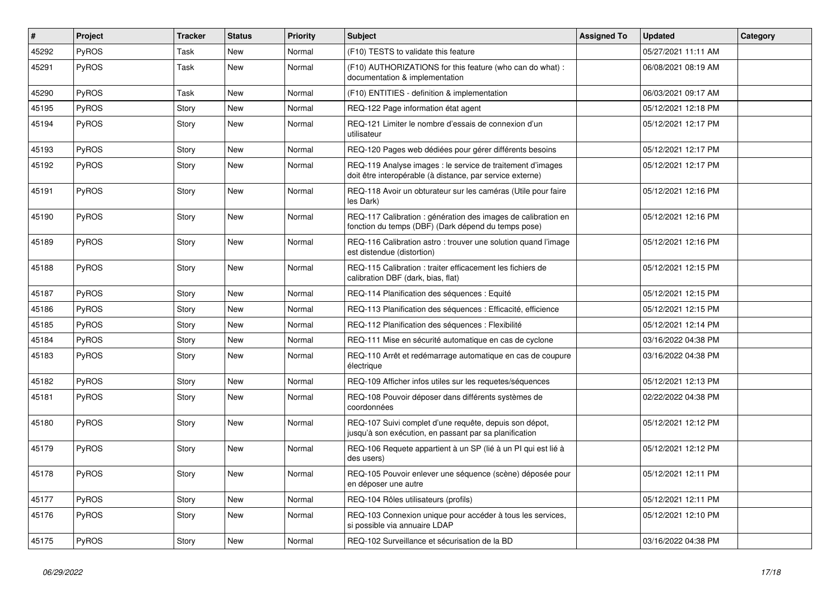| $\vert$ # | Project      | <b>Tracker</b> | <b>Status</b> | <b>Priority</b> | <b>Subject</b>                                                                                                          | <b>Assigned To</b> | <b>Updated</b>      | Category |
|-----------|--------------|----------------|---------------|-----------------|-------------------------------------------------------------------------------------------------------------------------|--------------------|---------------------|----------|
| 45292     | PyROS        | Task           | <b>New</b>    | Normal          | (F10) TESTS to validate this feature                                                                                    |                    | 05/27/2021 11:11 AM |          |
| 45291     | PyROS        | Task           | <b>New</b>    | Normal          | (F10) AUTHORIZATIONS for this feature (who can do what):<br>documentation & implementation                              |                    | 06/08/2021 08:19 AM |          |
| 45290     | PyROS        | Task           | <b>New</b>    | Normal          | (F10) ENTITIES - definition & implementation                                                                            |                    | 06/03/2021 09:17 AM |          |
| 45195     | PyROS        | Story          | <b>New</b>    | Normal          | REQ-122 Page information état agent                                                                                     |                    | 05/12/2021 12:18 PM |          |
| 45194     | PyROS        | Story          | New           | Normal          | REQ-121 Limiter le nombre d'essais de connexion d'un<br>utilisateur                                                     |                    | 05/12/2021 12:17 PM |          |
| 45193     | <b>PyROS</b> | Story          | New           | Normal          | REQ-120 Pages web dédiées pour gérer différents besoins                                                                 |                    | 05/12/2021 12:17 PM |          |
| 45192     | <b>PyROS</b> | Story          | New           | Normal          | REQ-119 Analyse images : le service de traitement d'images<br>doit être interopérable (à distance, par service externe) |                    | 05/12/2021 12:17 PM |          |
| 45191     | PyROS        | Story          | New           | Normal          | REQ-118 Avoir un obturateur sur les caméras (Utile pour faire<br>les Dark)                                              |                    | 05/12/2021 12:16 PM |          |
| 45190     | PyROS        | Story          | New           | Normal          | REQ-117 Calibration : génération des images de calibration en<br>fonction du temps (DBF) (Dark dépend du temps pose)    |                    | 05/12/2021 12:16 PM |          |
| 45189     | <b>PyROS</b> | Story          | New           | Normal          | REQ-116 Calibration astro: trouver une solution quand l'image<br>est distendue (distortion)                             |                    | 05/12/2021 12:16 PM |          |
| 45188     | PyROS        | Story          | New           | Normal          | REQ-115 Calibration : traiter efficacement les fichiers de<br>calibration DBF (dark, bias, flat)                        |                    | 05/12/2021 12:15 PM |          |
| 45187     | PyROS        | Story          | <b>New</b>    | Normal          | REQ-114 Planification des séquences : Equité                                                                            |                    | 05/12/2021 12:15 PM |          |
| 45186     | PyROS        | Story          | New           | Normal          | REQ-113 Planification des séquences : Efficacité, efficience                                                            |                    | 05/12/2021 12:15 PM |          |
| 45185     | PyROS        | Story          | New           | Normal          | REQ-112 Planification des séquences : Flexibilité                                                                       |                    | 05/12/2021 12:14 PM |          |
| 45184     | PyROS        | Story          | <b>New</b>    | Normal          | REQ-111 Mise en sécurité automatique en cas de cyclone                                                                  |                    | 03/16/2022 04:38 PM |          |
| 45183     | PyROS        | Story          | <b>New</b>    | Normal          | REQ-110 Arrêt et redémarrage automatique en cas de coupure<br>électrique                                                |                    | 03/16/2022 04:38 PM |          |
| 45182     | <b>PyROS</b> | Story          | New           | Normal          | REQ-109 Afficher infos utiles sur les requetes/séquences                                                                |                    | 05/12/2021 12:13 PM |          |
| 45181     | <b>PyROS</b> | Story          | New           | Normal          | REQ-108 Pouvoir déposer dans différents systèmes de<br>coordonnées                                                      |                    | 02/22/2022 04:38 PM |          |
| 45180     | PyROS        | Story          | New           | Normal          | REQ-107 Suivi complet d'une requête, depuis son dépot,<br>jusqu'à son exécution, en passant par sa planification        |                    | 05/12/2021 12:12 PM |          |
| 45179     | PyROS        | Story          | <b>New</b>    | Normal          | REQ-106 Requete appartient à un SP (lié à un PI qui est lié à<br>des users)                                             |                    | 05/12/2021 12:12 PM |          |
| 45178     | <b>PyROS</b> | Story          | New           | Normal          | REQ-105 Pouvoir enlever une séquence (scène) déposée pour<br>en déposer une autre                                       |                    | 05/12/2021 12:11 PM |          |
| 45177     | PyROS        | Story          | <b>New</b>    | Normal          | REQ-104 Rôles utilisateurs (profils)                                                                                    |                    | 05/12/2021 12:11 PM |          |
| 45176     | PyROS        | Story          | New           | Normal          | REQ-103 Connexion unique pour accéder à tous les services,<br>si possible via annuaire LDAP                             |                    | 05/12/2021 12:10 PM |          |
| 45175     | PyROS        | Story          | <b>New</b>    | Normal          | REQ-102 Surveillance et sécurisation de la BD                                                                           |                    | 03/16/2022 04:38 PM |          |